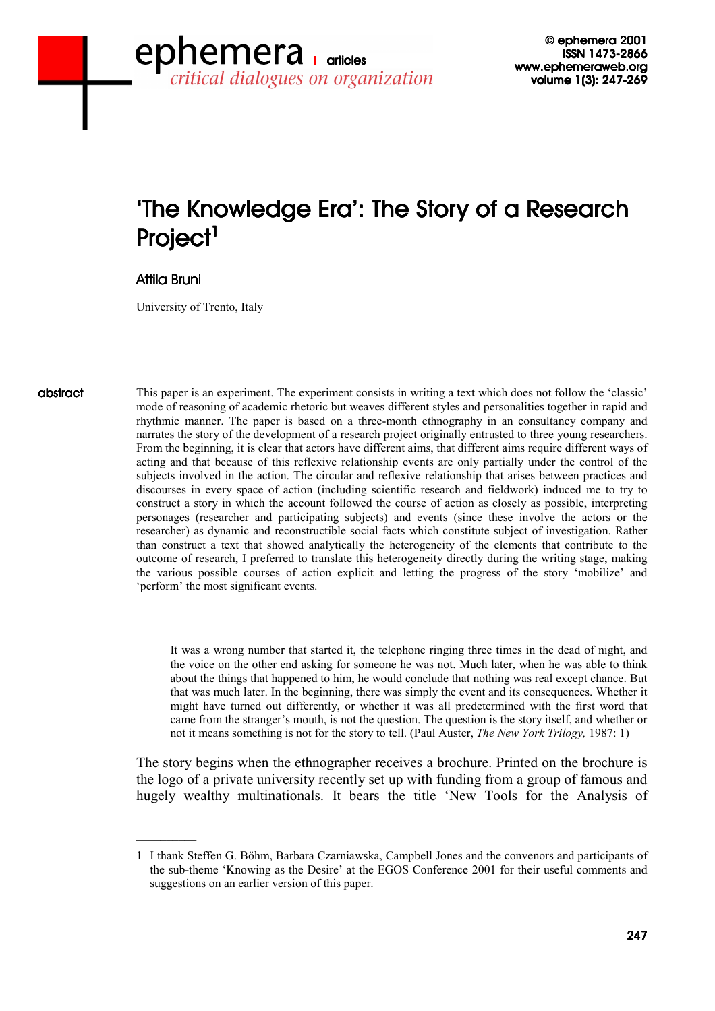# 'The Knowledge Era': The Story of a Research Project<sup>1</sup>

# Attila Bruni

University of Trento, Italy

abstract abstract

This paper is an experiment. The experiment consists in writing a text which does not follow the 'classic' mode of reasoning of academic rhetoric but weaves different styles and personalities together in rapid and rhythmic manner. The paper is based on a three-month ethnography in an consultancy company and narrates the story of the development of a research project originally entrusted to three young researchers. From the beginning, it is clear that actors have different aims, that different aims require different ways of acting and that because of this reflexive relationship events are only partially under the control of the subjects involved in the action. The circular and reflexive relationship that arises between practices and discourses in every space of action (including scientific research and fieldwork) induced me to try to construct a story in which the account followed the course of action as closely as possible, interpreting personages (researcher and participating subjects) and events (since these involve the actors or the researcher) as dynamic and reconstructible social facts which constitute subject of investigation. Rather than construct a text that showed analytically the heterogeneity of the elements that contribute to the outcome of research, I preferred to translate this heterogeneity directly during the writing stage, making the various possible courses of action explicit and letting the progress of the story 'mobilize' and 'perform' the most significant events.

It was a wrong number that started it, the telephone ringing three times in the dead of night, and the voice on the other end asking for someone he was not. Much later, when he was able to think about the things that happened to him, he would conclude that nothing was real except chance. But that was much later. In the beginning, there was simply the event and its consequences. Whether it might have turned out differently, or whether it was all predetermined with the first word that came from the stranger's mouth, is not the question. The question is the story itself, and whether or not it means something is not for the story to tell. (Paul Auster, *The New York Trilogy,* 1987: 1)

The story begins when the ethnographer receives a brochure. Printed on the brochure is the logo of a private university recently set up with funding from a group of famous and hugely wealthy multinationals. It bears the title 'New Tools for the Analysis of

<sup>1</sup> I thank Steffen G. Böhm, Barbara Czarniawska, Campbell Jones and the convenors and participants of the sub-theme 'Knowing as the Desire' at the EGOS Conference 2001 for their useful comments and suggestions on an earlier version of this paper.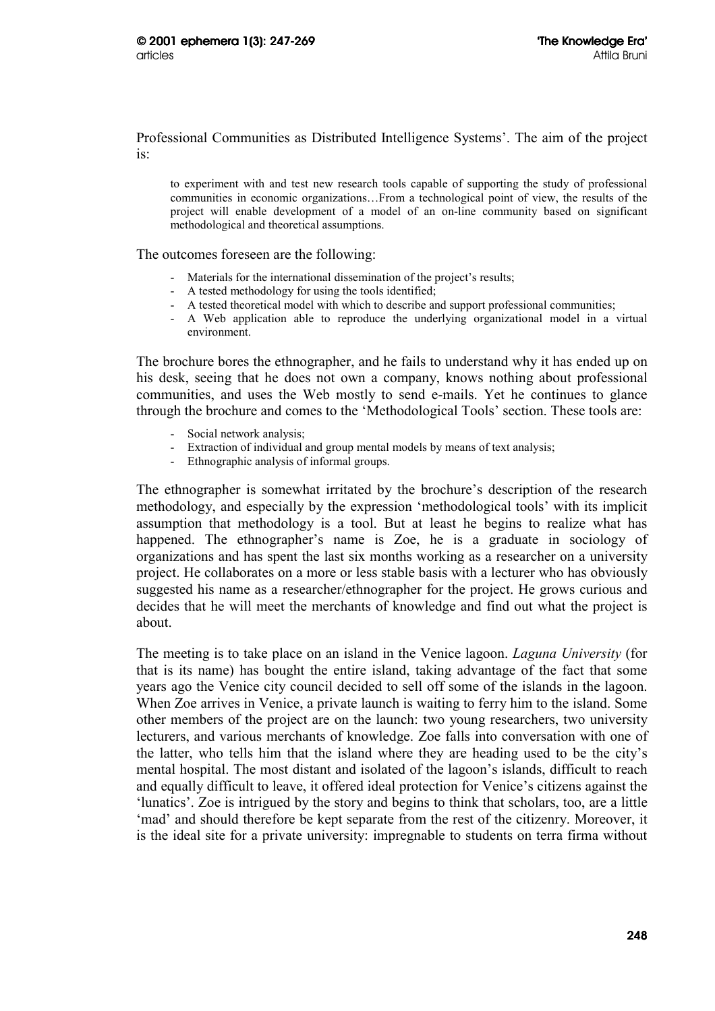Professional Communities as Distributed Intelligence Systems'. The aim of the project is:

to experiment with and test new research tools capable of supporting the study of professional communities in economic organizations…From a technological point of view, the results of the project will enable development of a model of an on-line community based on significant methodological and theoretical assumptions.

The outcomes foreseen are the following:

- Materials for the international dissemination of the project's results;
- A tested methodology for using the tools identified;
- A tested theoretical model with which to describe and support professional communities;
- A Web application able to reproduce the underlying organizational model in a virtual environment.

The brochure bores the ethnographer, and he fails to understand why it has ended up on his desk, seeing that he does not own a company, knows nothing about professional communities, and uses the Web mostly to send e-mails. Yet he continues to glance through the brochure and comes to the 'Methodological Tools' section. These tools are:

- Social network analysis;
- Extraction of individual and group mental models by means of text analysis;
- Ethnographic analysis of informal groups.

The ethnographer is somewhat irritated by the brochure's description of the research methodology, and especially by the expression 'methodological tools' with its implicit assumption that methodology is a tool. But at least he begins to realize what has happened. The ethnographer's name is Zoe, he is a graduate in sociology of organizations and has spent the last six months working as a researcher on a university project. He collaborates on a more or less stable basis with a lecturer who has obviously suggested his name as a researcher/ethnographer for the project. He grows curious and decides that he will meet the merchants of knowledge and find out what the project is about.

The meeting is to take place on an island in the Venice lagoon. *Laguna University* (for that is its name) has bought the entire island, taking advantage of the fact that some years ago the Venice city council decided to sell off some of the islands in the lagoon. When Zoe arrives in Venice, a private launch is waiting to ferry him to the island. Some other members of the project are on the launch: two young researchers, two university lecturers, and various merchants of knowledge. Zoe falls into conversation with one of the latter, who tells him that the island where they are heading used to be the city's mental hospital. The most distant and isolated of the lagoon's islands, difficult to reach and equally difficult to leave, it offered ideal protection for Venice's citizens against the 'lunatics'. Zoe is intrigued by the story and begins to think that scholars, too, are a little 'mad' and should therefore be kept separate from the rest of the citizenry. Moreover, it is the ideal site for a private university: impregnable to students on terra firma without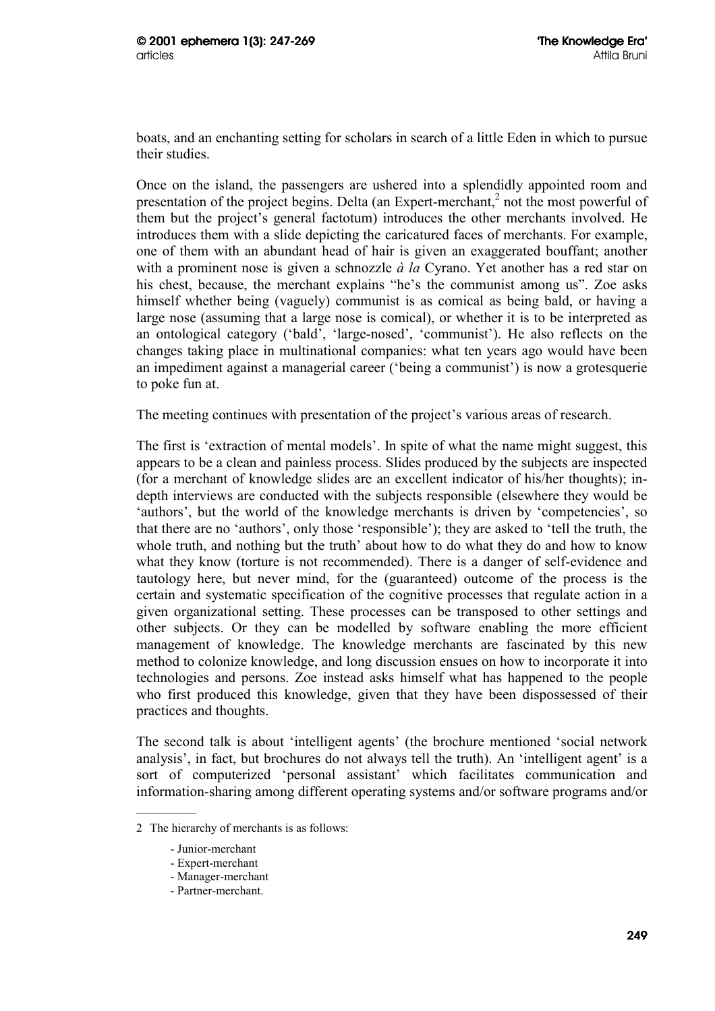boats, and an enchanting setting for scholars in search of a little Eden in which to pursue their studies.

Once on the island, the passengers are ushered into a splendidly appointed room and presentation of the project begins. Delta (an Expert-merchant, $2$  not the most powerful of them but the project's general factotum) introduces the other merchants involved. He introduces them with a slide depicting the caricatured faces of merchants. For example, one of them with an abundant head of hair is given an exaggerated bouffant; another with a prominent nose is given a schnozzle *à la* Cyrano. Yet another has a red star on his chest, because, the merchant explains "he's the communist among us". Zoe asks himself whether being (vaguely) communist is as comical as being bald, or having a large nose (assuming that a large nose is comical), or whether it is to be interpreted as an ontological category ('bald', 'large-nosed', 'communist'). He also reflects on the changes taking place in multinational companies: what ten years ago would have been an impediment against a managerial career ('being a communist') is now a grotesquerie to poke fun at.

The meeting continues with presentation of the project's various areas of research.

The first is 'extraction of mental models'. In spite of what the name might suggest, this appears to be a clean and painless process. Slides produced by the subjects are inspected (for a merchant of knowledge slides are an excellent indicator of his/her thoughts); indepth interviews are conducted with the subjects responsible (elsewhere they would be 'authors', but the world of the knowledge merchants is driven by 'competencies', so that there are no 'authors', only those 'responsible'); they are asked to 'tell the truth, the whole truth, and nothing but the truth' about how to do what they do and how to know what they know (torture is not recommended). There is a danger of self-evidence and tautology here, but never mind, for the (guaranteed) outcome of the process is the certain and systematic specification of the cognitive processes that regulate action in a given organizational setting. These processes can be transposed to other settings and other subjects. Or they can be modelled by software enabling the more efficient management of knowledge. The knowledge merchants are fascinated by this new method to colonize knowledge, and long discussion ensues on how to incorporate it into technologies and persons. Zoe instead asks himself what has happened to the people who first produced this knowledge, given that they have been dispossessed of their practices and thoughts.

The second talk is about 'intelligent agents' (the brochure mentioned 'social network analysis', in fact, but brochures do not always tell the truth). An 'intelligent agent' is a sort of computerized 'personal assistant' which facilitates communication and information-sharing among different operating systems and/or software programs and/or

<sup>2</sup> The hierarchy of merchants is as follows:

<sup>-</sup> Junior-merchant

<sup>-</sup> Expert-merchant

<sup>-</sup> Manager-merchant

<sup>-</sup> Partner-merchant.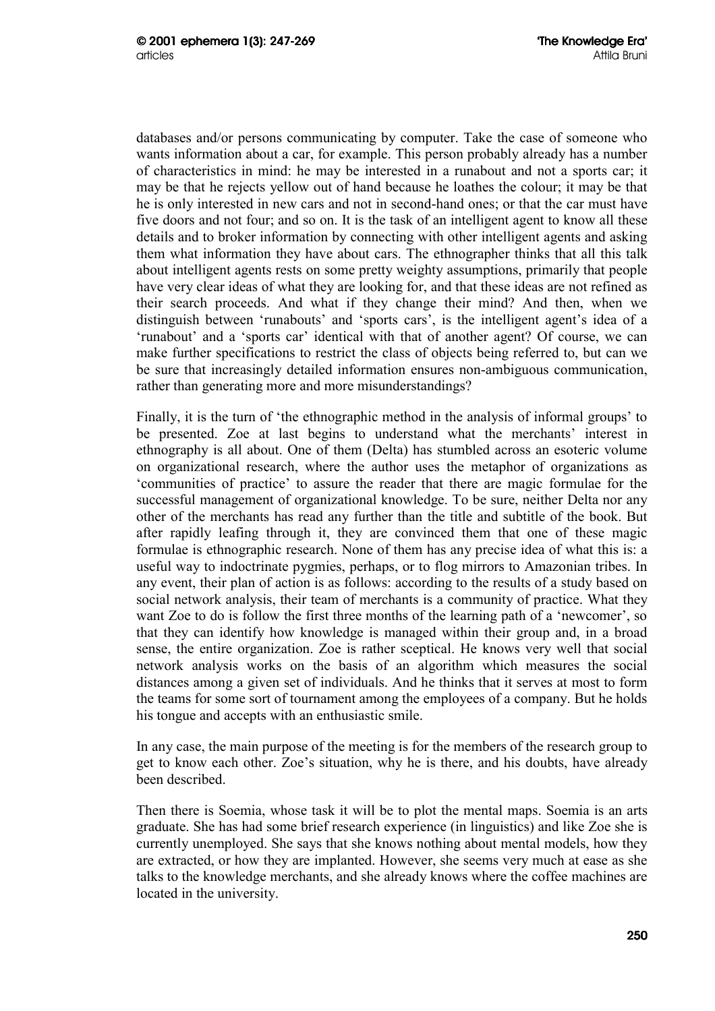databases and/or persons communicating by computer. Take the case of someone who wants information about a car, for example. This person probably already has a number of characteristics in mind: he may be interested in a runabout and not a sports car; it may be that he rejects yellow out of hand because he loathes the colour; it may be that he is only interested in new cars and not in second-hand ones; or that the car must have five doors and not four; and so on. It is the task of an intelligent agent to know all these details and to broker information by connecting with other intelligent agents and asking them what information they have about cars. The ethnographer thinks that all this talk about intelligent agents rests on some pretty weighty assumptions, primarily that people have very clear ideas of what they are looking for, and that these ideas are not refined as their search proceeds. And what if they change their mind? And then, when we distinguish between 'runabouts' and 'sports cars', is the intelligent agent's idea of a 'runabout' and a 'sports car' identical with that of another agent? Of course, we can make further specifications to restrict the class of objects being referred to, but can we be sure that increasingly detailed information ensures non-ambiguous communication, rather than generating more and more misunderstandings?

Finally, it is the turn of 'the ethnographic method in the analysis of informal groups' to be presented. Zoe at last begins to understand what the merchants' interest in ethnography is all about. One of them (Delta) has stumbled across an esoteric volume on organizational research, where the author uses the metaphor of organizations as 'communities of practice' to assure the reader that there are magic formulae for the successful management of organizational knowledge. To be sure, neither Delta nor any other of the merchants has read any further than the title and subtitle of the book. But after rapidly leafing through it, they are convinced them that one of these magic formulae is ethnographic research. None of them has any precise idea of what this is: a useful way to indoctrinate pygmies, perhaps, or to flog mirrors to Amazonian tribes. In any event, their plan of action is as follows: according to the results of a study based on social network analysis, their team of merchants is a community of practice. What they want Zoe to do is follow the first three months of the learning path of a 'newcomer', so that they can identify how knowledge is managed within their group and, in a broad sense, the entire organization. Zoe is rather sceptical. He knows very well that social network analysis works on the basis of an algorithm which measures the social distances among a given set of individuals. And he thinks that it serves at most to form the teams for some sort of tournament among the employees of a company. But he holds his tongue and accepts with an enthusiastic smile.

In any case, the main purpose of the meeting is for the members of the research group to get to know each other. Zoe's situation, why he is there, and his doubts, have already been described.

Then there is Soemia, whose task it will be to plot the mental maps. Soemia is an arts graduate. She has had some brief research experience (in linguistics) and like Zoe she is currently unemployed. She says that she knows nothing about mental models, how they are extracted, or how they are implanted. However, she seems very much at ease as she talks to the knowledge merchants, and she already knows where the coffee machines are located in the university.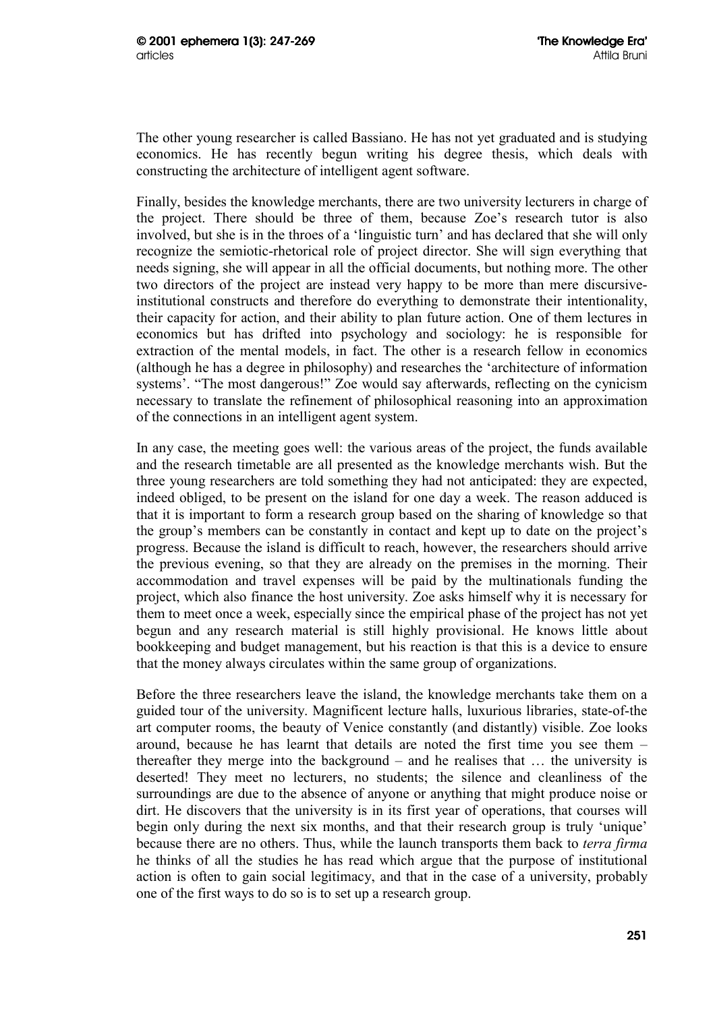The other young researcher is called Bassiano. He has not yet graduated and is studying economics. He has recently begun writing his degree thesis, which deals with constructing the architecture of intelligent agent software.

Finally, besides the knowledge merchants, there are two university lecturers in charge of the project. There should be three of them, because Zoe's research tutor is also involved, but she is in the throes of a 'linguistic turn' and has declared that she will only recognize the semiotic-rhetorical role of project director. She will sign everything that needs signing, she will appear in all the official documents, but nothing more. The other two directors of the project are instead very happy to be more than mere discursiveinstitutional constructs and therefore do everything to demonstrate their intentionality, their capacity for action, and their ability to plan future action. One of them lectures in economics but has drifted into psychology and sociology: he is responsible for extraction of the mental models, in fact. The other is a research fellow in economics (although he has a degree in philosophy) and researches the 'architecture of information systems'. "The most dangerous!" Zoe would say afterwards, reflecting on the cynicism necessary to translate the refinement of philosophical reasoning into an approximation of the connections in an intelligent agent system.

In any case, the meeting goes well: the various areas of the project, the funds available and the research timetable are all presented as the knowledge merchants wish. But the three young researchers are told something they had not anticipated: they are expected, indeed obliged, to be present on the island for one day a week. The reason adduced is that it is important to form a research group based on the sharing of knowledge so that the group's members can be constantly in contact and kept up to date on the project's progress. Because the island is difficult to reach, however, the researchers should arrive the previous evening, so that they are already on the premises in the morning. Their accommodation and travel expenses will be paid by the multinationals funding the project, which also finance the host university. Zoe asks himself why it is necessary for them to meet once a week, especially since the empirical phase of the project has not yet begun and any research material is still highly provisional. He knows little about bookkeeping and budget management, but his reaction is that this is a device to ensure that the money always circulates within the same group of organizations.

Before the three researchers leave the island, the knowledge merchants take them on a guided tour of the university. Magnificent lecture halls, luxurious libraries, state-of-the art computer rooms, the beauty of Venice constantly (and distantly) visible. Zoe looks around, because he has learnt that details are noted the first time you see them – thereafter they merge into the background – and he realises that … the university is deserted! They meet no lecturers, no students; the silence and cleanliness of the surroundings are due to the absence of anyone or anything that might produce noise or dirt. He discovers that the university is in its first year of operations, that courses will begin only during the next six months, and that their research group is truly 'unique' because there are no others. Thus, while the launch transports them back to *terra firma* he thinks of all the studies he has read which argue that the purpose of institutional action is often to gain social legitimacy, and that in the case of a university, probably one of the first ways to do so is to set up a research group.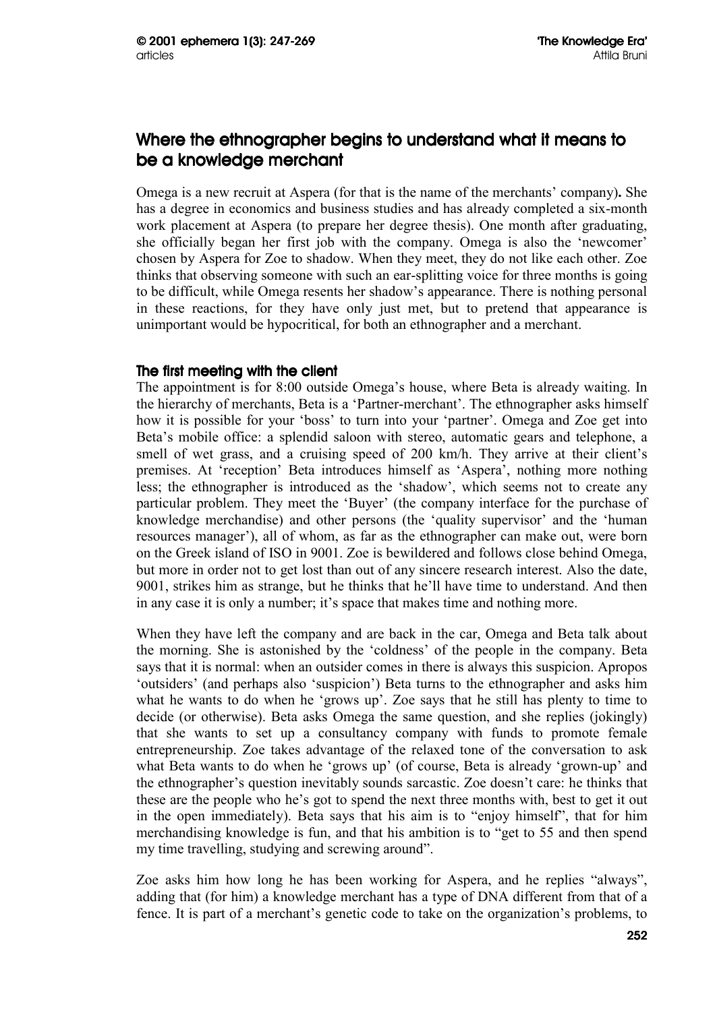# Where the ethnographer begins to understand what it means to be a knowledge merchant

Omega is a new recruit at Aspera (for that is the name of the merchants' company)**.** She has a degree in economics and business studies and has already completed a six-month work placement at Aspera (to prepare her degree thesis). One month after graduating, she officially began her first job with the company. Omega is also the 'newcomer' chosen by Aspera for Zoe to shadow. When they meet, they do not like each other. Zoe thinks that observing someone with such an ear-splitting voice for three months is going to be difficult, while Omega resents her shadow's appearance. There is nothing personal in these reactions, for they have only just met, but to pretend that appearance is unimportant would be hypocritical, for both an ethnographer and a merchant.

# The first meeting with the client

The appointment is for 8:00 outside Omega's house, where Beta is already waiting. In the hierarchy of merchants, Beta is a 'Partner-merchant'. The ethnographer asks himself how it is possible for your 'boss' to turn into your 'partner'. Omega and Zoe get into Beta's mobile office: a splendid saloon with stereo, automatic gears and telephone, a smell of wet grass, and a cruising speed of 200 km/h. They arrive at their client's premises. At 'reception' Beta introduces himself as 'Aspera', nothing more nothing less; the ethnographer is introduced as the 'shadow', which seems not to create any particular problem. They meet the 'Buyer' (the company interface for the purchase of knowledge merchandise) and other persons (the 'quality supervisor' and the 'human resources manager'), all of whom, as far as the ethnographer can make out, were born on the Greek island of ISO in 9001. Zoe is bewildered and follows close behind Omega, but more in order not to get lost than out of any sincere research interest. Also the date, 9001, strikes him as strange, but he thinks that he'll have time to understand. And then in any case it is only a number; it's space that makes time and nothing more.

When they have left the company and are back in the car, Omega and Beta talk about the morning. She is astonished by the 'coldness' of the people in the company. Beta says that it is normal: when an outsider comes in there is always this suspicion. Apropos 'outsiders' (and perhaps also 'suspicion') Beta turns to the ethnographer and asks him what he wants to do when he 'grows up'. Zoe says that he still has plenty to time to decide (or otherwise). Beta asks Omega the same question, and she replies (jokingly) that she wants to set up a consultancy company with funds to promote female entrepreneurship. Zoe takes advantage of the relaxed tone of the conversation to ask what Beta wants to do when he 'grows up' (of course, Beta is already 'grown-up' and the ethnographer's question inevitably sounds sarcastic. Zoe doesn't care: he thinks that these are the people who he's got to spend the next three months with, best to get it out in the open immediately). Beta says that his aim is to "enjoy himself", that for him merchandising knowledge is fun, and that his ambition is to "get to 55 and then spend my time travelling, studying and screwing around".

Zoe asks him how long he has been working for Aspera, and he replies "always", adding that (for him) a knowledge merchant has a type of DNA different from that of a fence. It is part of a merchant's genetic code to take on the organization's problems, to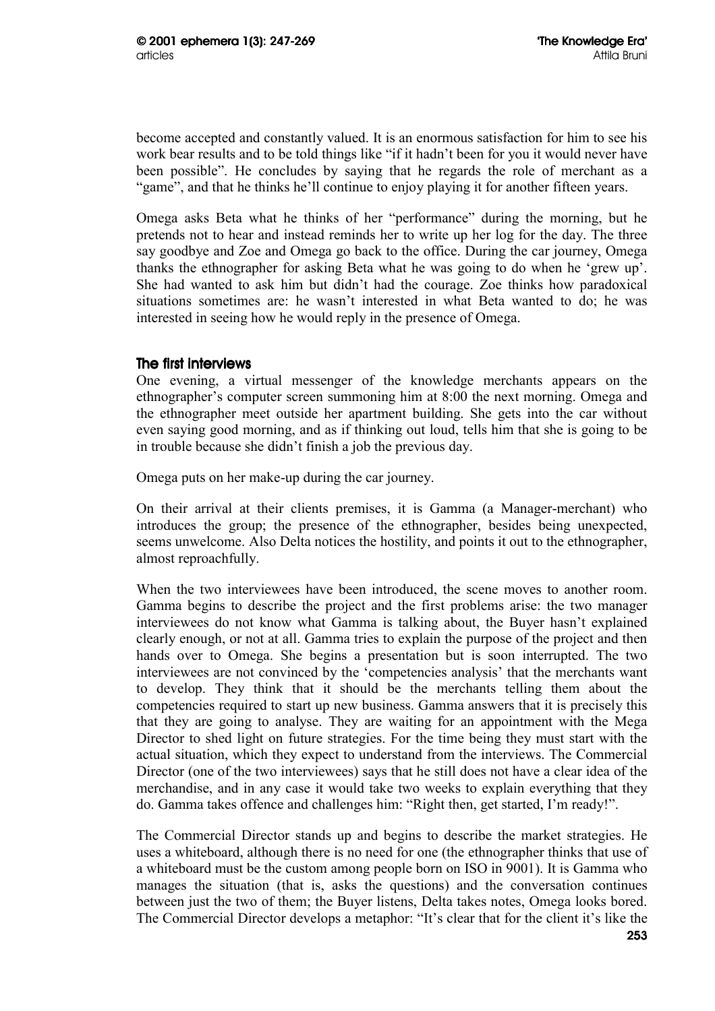become accepted and constantly valued. It is an enormous satisfaction for him to see his work bear results and to be told things like "if it hadn't been for you it would never have been possible". He concludes by saying that he regards the role of merchant as a "game", and that he thinks he'll continue to enjoy playing it for another fifteen years.

Omega asks Beta what he thinks of her "performance" during the morning, but he pretends not to hear and instead reminds her to write up her log for the day. The three say goodbye and Zoe and Omega go back to the office. During the car journey, Omega thanks the ethnographer for asking Beta what he was going to do when he 'grew up'. She had wanted to ask him but didn't had the courage. Zoe thinks how paradoxical situations sometimes are: he wasn't interested in what Beta wanted to do; he was interested in seeing how he would reply in the presence of Omega.

# The first interviews

One evening, a virtual messenger of the knowledge merchants appears on the ethnographer's computer screen summoning him at 8:00 the next morning. Omega and the ethnographer meet outside her apartment building. She gets into the car without even saying good morning, and as if thinking out loud, tells him that she is going to be in trouble because she didn't finish a job the previous day.

Omega puts on her make-up during the car journey.

On their arrival at their clients premises, it is Gamma (a Manager-merchant) who introduces the group; the presence of the ethnographer, besides being unexpected, seems unwelcome. Also Delta notices the hostility, and points it out to the ethnographer, almost reproachfully.

When the two interviewees have been introduced, the scene moves to another room. Gamma begins to describe the project and the first problems arise: the two manager interviewees do not know what Gamma is talking about, the Buyer hasn't explained clearly enough, or not at all. Gamma tries to explain the purpose of the project and then hands over to Omega. She begins a presentation but is soon interrupted. The two interviewees are not convinced by the 'competencies analysis' that the merchants want to develop. They think that it should be the merchants telling them about the competencies required to start up new business. Gamma answers that it is precisely this that they are going to analyse. They are waiting for an appointment with the Mega Director to shed light on future strategies. For the time being they must start with the actual situation, which they expect to understand from the interviews. The Commercial Director (one of the two interviewees) says that he still does not have a clear idea of the merchandise, and in any case it would take two weeks to explain everything that they do. Gamma takes offence and challenges him: "Right then, get started, I'm ready!".

The Commercial Director stands up and begins to describe the market strategies. He uses a whiteboard, although there is no need for one (the ethnographer thinks that use of a whiteboard must be the custom among people born on ISO in 9001). It is Gamma who manages the situation (that is, asks the questions) and the conversation continues between just the two of them; the Buyer listens, Delta takes notes, Omega looks bored. The Commercial Director develops a metaphor: "It's clear that for the client it's like the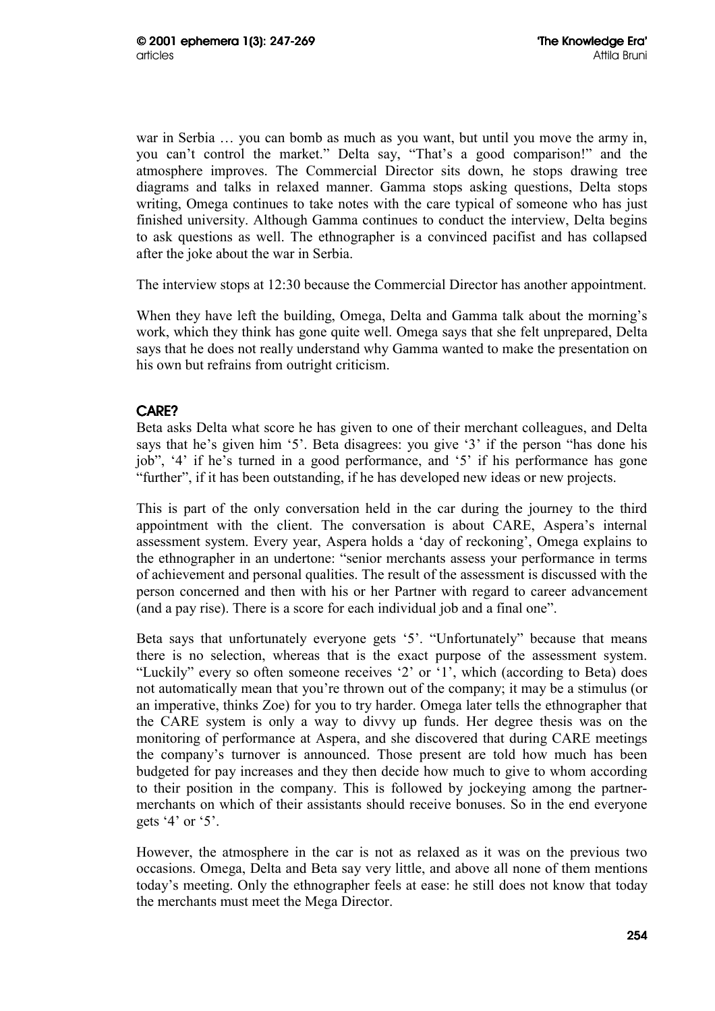war in Serbia … you can bomb as much as you want, but until you move the army in, you can't control the market." Delta say, "That's a good comparison!" and the atmosphere improves. The Commercial Director sits down, he stops drawing tree diagrams and talks in relaxed manner. Gamma stops asking questions, Delta stops writing, Omega continues to take notes with the care typical of someone who has just finished university. Although Gamma continues to conduct the interview, Delta begins to ask questions as well. The ethnographer is a convinced pacifist and has collapsed after the joke about the war in Serbia.

The interview stops at 12:30 because the Commercial Director has another appointment.

When they have left the building, Omega, Delta and Gamma talk about the morning's work, which they think has gone quite well. Omega says that she felt unprepared, Delta says that he does not really understand why Gamma wanted to make the presentation on his own but refrains from outright criticism.

# CARE?

Beta asks Delta what score he has given to one of their merchant colleagues, and Delta says that he's given him '5'. Beta disagrees: you give '3' if the person "has done his job", '4' if he's turned in a good performance, and '5' if his performance has gone "further", if it has been outstanding, if he has developed new ideas or new projects.

This is part of the only conversation held in the car during the journey to the third appointment with the client. The conversation is about CARE, Aspera's internal assessment system. Every year, Aspera holds a 'day of reckoning', Omega explains to the ethnographer in an undertone: "senior merchants assess your performance in terms of achievement and personal qualities. The result of the assessment is discussed with the person concerned and then with his or her Partner with regard to career advancement (and a pay rise). There is a score for each individual job and a final one".

Beta says that unfortunately everyone gets '5'. "Unfortunately" because that means there is no selection, whereas that is the exact purpose of the assessment system. "Luckily" every so often someone receives '2' or '1', which (according to Beta) does not automatically mean that you're thrown out of the company; it may be a stimulus (or an imperative, thinks Zoe) for you to try harder. Omega later tells the ethnographer that the CARE system is only a way to divvy up funds. Her degree thesis was on the monitoring of performance at Aspera, and she discovered that during CARE meetings the company's turnover is announced. Those present are told how much has been budgeted for pay increases and they then decide how much to give to whom according to their position in the company. This is followed by jockeying among the partnermerchants on which of their assistants should receive bonuses. So in the end everyone gets  $4'$  or  $5'$ .

However, the atmosphere in the car is not as relaxed as it was on the previous two occasions. Omega, Delta and Beta say very little, and above all none of them mentions today's meeting. Only the ethnographer feels at ease: he still does not know that today the merchants must meet the Mega Director.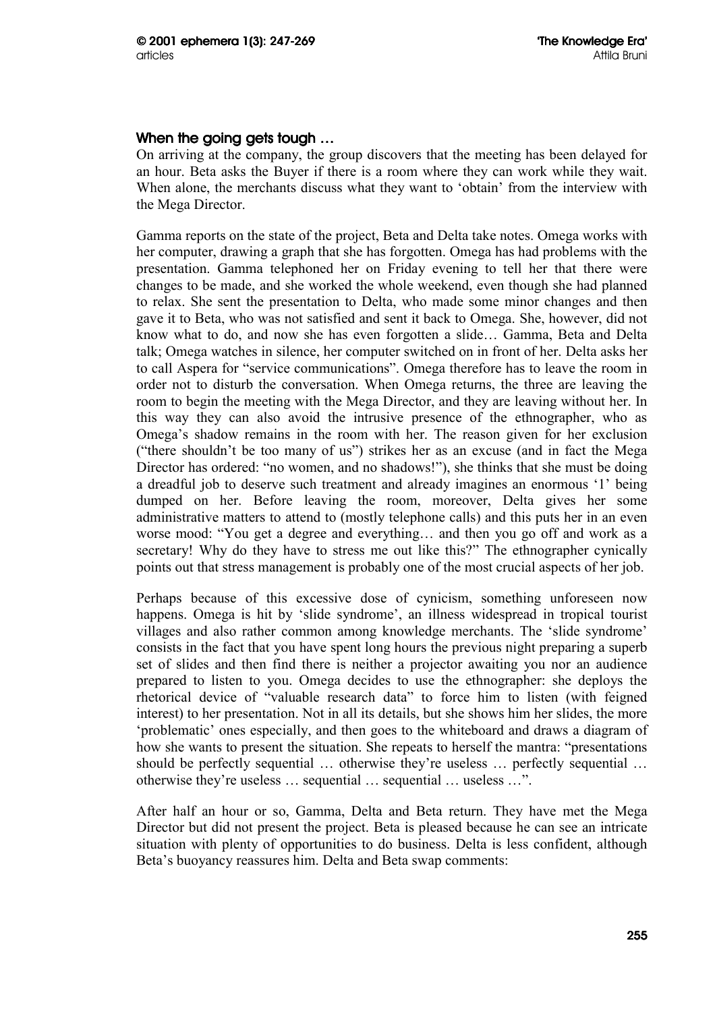# When the going gets tough ...

On arriving at the company, the group discovers that the meeting has been delayed for an hour. Beta asks the Buyer if there is a room where they can work while they wait. When alone, the merchants discuss what they want to 'obtain' from the interview with the Mega Director.

Gamma reports on the state of the project, Beta and Delta take notes. Omega works with her computer, drawing a graph that she has forgotten. Omega has had problems with the presentation. Gamma telephoned her on Friday evening to tell her that there were changes to be made, and she worked the whole weekend, even though she had planned to relax. She sent the presentation to Delta, who made some minor changes and then gave it to Beta, who was not satisfied and sent it back to Omega. She, however, did not know what to do, and now she has even forgotten a slide… Gamma, Beta and Delta talk; Omega watches in silence, her computer switched on in front of her. Delta asks her to call Aspera for "service communications". Omega therefore has to leave the room in order not to disturb the conversation. When Omega returns, the three are leaving the room to begin the meeting with the Mega Director, and they are leaving without her. In this way they can also avoid the intrusive presence of the ethnographer, who as Omega's shadow remains in the room with her. The reason given for her exclusion ("there shouldn't be too many of us") strikes her as an excuse (and in fact the Mega Director has ordered: "no women, and no shadows!"), she thinks that she must be doing a dreadful job to deserve such treatment and already imagines an enormous '1' being dumped on her. Before leaving the room, moreover, Delta gives her some administrative matters to attend to (mostly telephone calls) and this puts her in an even worse mood: "You get a degree and everything… and then you go off and work as a secretary! Why do they have to stress me out like this?" The ethnographer cynically points out that stress management is probably one of the most crucial aspects of her job.

Perhaps because of this excessive dose of cynicism, something unforeseen now happens. Omega is hit by 'slide syndrome', an illness widespread in tropical tourist villages and also rather common among knowledge merchants. The 'slide syndrome' consists in the fact that you have spent long hours the previous night preparing a superb set of slides and then find there is neither a projector awaiting you nor an audience prepared to listen to you. Omega decides to use the ethnographer: she deploys the rhetorical device of "valuable research data" to force him to listen (with feigned interest) to her presentation. Not in all its details, but she shows him her slides, the more 'problematic' ones especially, and then goes to the whiteboard and draws a diagram of how she wants to present the situation. She repeats to herself the mantra: "presentations should be perfectly sequential … otherwise they're useless … perfectly sequential … otherwise they're useless … sequential … sequential … useless …".

After half an hour or so, Gamma, Delta and Beta return. They have met the Mega Director but did not present the project. Beta is pleased because he can see an intricate situation with plenty of opportunities to do business. Delta is less confident, although Beta's buoyancy reassures him. Delta and Beta swap comments: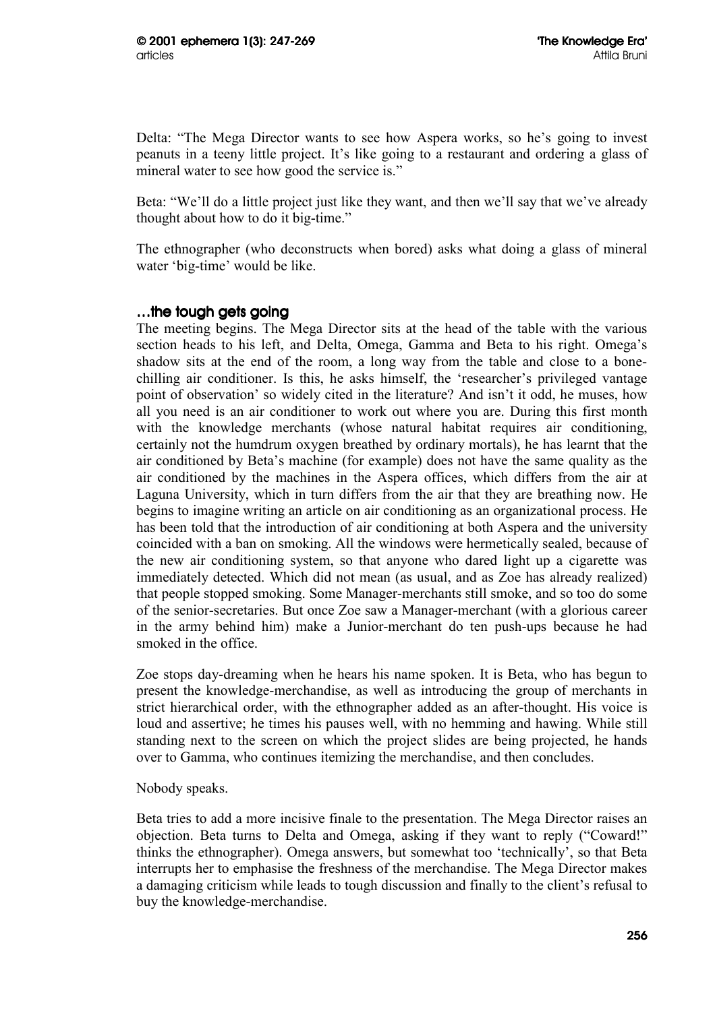Delta: "The Mega Director wants to see how Aspera works, so he's going to invest peanuts in a teeny little project. It's like going to a restaurant and ordering a glass of mineral water to see how good the service is."

Beta: "We'll do a little project just like they want, and then we'll say that we've already thought about how to do it big-time."

The ethnographer (who deconstructs when bored) asks what doing a glass of mineral water 'big-time' would be like.

### …the tough gets going

The meeting begins. The Mega Director sits at the head of the table with the various section heads to his left, and Delta, Omega, Gamma and Beta to his right. Omega's shadow sits at the end of the room, a long way from the table and close to a bonechilling air conditioner. Is this, he asks himself, the 'researcher's privileged vantage point of observation' so widely cited in the literature? And isn't it odd, he muses, how all you need is an air conditioner to work out where you are. During this first month with the knowledge merchants (whose natural habitat requires air conditioning, certainly not the humdrum oxygen breathed by ordinary mortals), he has learnt that the air conditioned by Beta's machine (for example) does not have the same quality as the air conditioned by the machines in the Aspera offices, which differs from the air at Laguna University, which in turn differs from the air that they are breathing now. He begins to imagine writing an article on air conditioning as an organizational process. He has been told that the introduction of air conditioning at both Aspera and the university coincided with a ban on smoking. All the windows were hermetically sealed, because of the new air conditioning system, so that anyone who dared light up a cigarette was immediately detected. Which did not mean (as usual, and as Zoe has already realized) that people stopped smoking. Some Manager-merchants still smoke, and so too do some of the senior-secretaries. But once Zoe saw a Manager-merchant (with a glorious career in the army behind him) make a Junior-merchant do ten push-ups because he had smoked in the office.

Zoe stops day-dreaming when he hears his name spoken. It is Beta, who has begun to present the knowledge-merchandise, as well as introducing the group of merchants in strict hierarchical order, with the ethnographer added as an after-thought. His voice is loud and assertive; he times his pauses well, with no hemming and hawing. While still standing next to the screen on which the project slides are being projected, he hands over to Gamma, who continues itemizing the merchandise, and then concludes.

Nobody speaks.

Beta tries to add a more incisive finale to the presentation. The Mega Director raises an objection. Beta turns to Delta and Omega, asking if they want to reply ("Coward!" thinks the ethnographer). Omega answers, but somewhat too 'technically', so that Beta interrupts her to emphasise the freshness of the merchandise. The Mega Director makes a damaging criticism while leads to tough discussion and finally to the client's refusal to buy the knowledge-merchandise.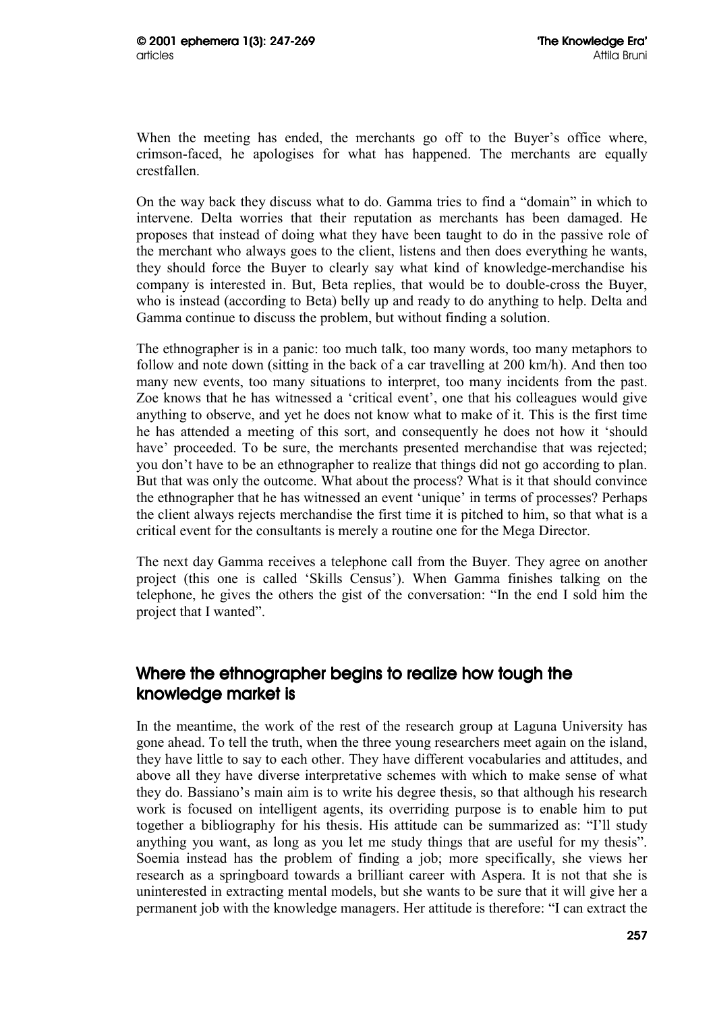When the meeting has ended, the merchants go off to the Buyer's office where, crimson-faced, he apologises for what has happened. The merchants are equally crestfallen.

On the way back they discuss what to do. Gamma tries to find a "domain" in which to intervene. Delta worries that their reputation as merchants has been damaged. He proposes that instead of doing what they have been taught to do in the passive role of the merchant who always goes to the client, listens and then does everything he wants, they should force the Buyer to clearly say what kind of knowledge-merchandise his company is interested in. But, Beta replies, that would be to double-cross the Buyer, who is instead (according to Beta) belly up and ready to do anything to help. Delta and Gamma continue to discuss the problem, but without finding a solution.

The ethnographer is in a panic: too much talk, too many words, too many metaphors to follow and note down (sitting in the back of a car travelling at 200 km/h). And then too many new events, too many situations to interpret, too many incidents from the past. Zoe knows that he has witnessed a 'critical event', one that his colleagues would give anything to observe, and yet he does not know what to make of it. This is the first time he has attended a meeting of this sort, and consequently he does not how it 'should have' proceeded. To be sure, the merchants presented merchandise that was rejected; you don't have to be an ethnographer to realize that things did not go according to plan. But that was only the outcome. What about the process? What is it that should convince the ethnographer that he has witnessed an event 'unique' in terms of processes? Perhaps the client always rejects merchandise the first time it is pitched to him, so that what is a critical event for the consultants is merely a routine one for the Mega Director.

The next day Gamma receives a telephone call from the Buyer. They agree on another project (this one is called 'Skills Census'). When Gamma finishes talking on the telephone, he gives the others the gist of the conversation: "In the end I sold him the project that I wanted".

# Where the ethnographer begins to realize how tough the knowledge market is

In the meantime, the work of the rest of the research group at Laguna University has gone ahead. To tell the truth, when the three young researchers meet again on the island, they have little to say to each other. They have different vocabularies and attitudes, and above all they have diverse interpretative schemes with which to make sense of what they do. Bassiano's main aim is to write his degree thesis, so that although his research work is focused on intelligent agents, its overriding purpose is to enable him to put together a bibliography for his thesis. His attitude can be summarized as: "I'll study anything you want, as long as you let me study things that are useful for my thesis". Soemia instead has the problem of finding a job; more specifically, she views her research as a springboard towards a brilliant career with Aspera. It is not that she is uninterested in extracting mental models, but she wants to be sure that it will give her a permanent job with the knowledge managers. Her attitude is therefore: "I can extract the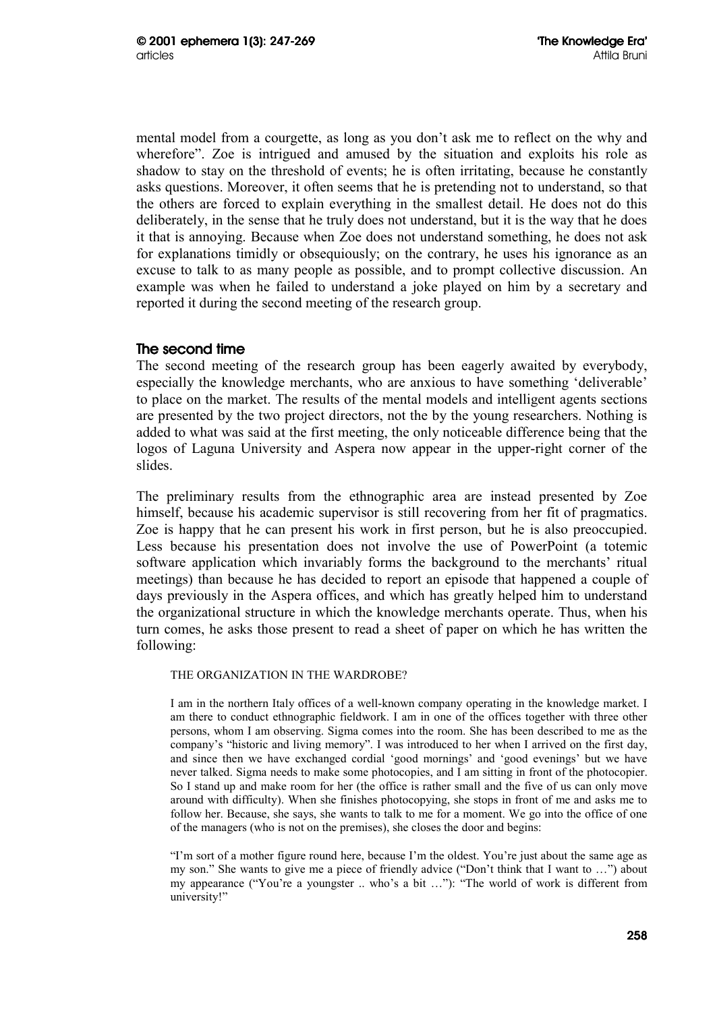mental model from a courgette, as long as you don't ask me to reflect on the why and wherefore". Zoe is intrigued and amused by the situation and exploits his role as shadow to stay on the threshold of events; he is often irritating, because he constantly asks questions. Moreover, it often seems that he is pretending not to understand, so that the others are forced to explain everything in the smallest detail. He does not do this deliberately, in the sense that he truly does not understand, but it is the way that he does it that is annoying. Because when Zoe does not understand something, he does not ask for explanations timidly or obsequiously; on the contrary, he uses his ignorance as an excuse to talk to as many people as possible, and to prompt collective discussion. An example was when he failed to understand a joke played on him by a secretary and reported it during the second meeting of the research group.

# The second time

The second meeting of the research group has been eagerly awaited by everybody, especially the knowledge merchants, who are anxious to have something 'deliverable' to place on the market. The results of the mental models and intelligent agents sections are presented by the two project directors, not the by the young researchers. Nothing is added to what was said at the first meeting, the only noticeable difference being that the logos of Laguna University and Aspera now appear in the upper-right corner of the slides.

The preliminary results from the ethnographic area are instead presented by Zoe himself, because his academic supervisor is still recovering from her fit of pragmatics. Zoe is happy that he can present his work in first person, but he is also preoccupied. Less because his presentation does not involve the use of PowerPoint (a totemic software application which invariably forms the background to the merchants' ritual meetings) than because he has decided to report an episode that happened a couple of days previously in the Aspera offices, and which has greatly helped him to understand the organizational structure in which the knowledge merchants operate. Thus, when his turn comes, he asks those present to read a sheet of paper on which he has written the following:

### THE ORGANIZATION IN THE WARDROBE?

I am in the northern Italy offices of a well-known company operating in the knowledge market. I am there to conduct ethnographic fieldwork. I am in one of the offices together with three other persons, whom I am observing. Sigma comes into the room. She has been described to me as the company's "historic and living memory". I was introduced to her when I arrived on the first day, and since then we have exchanged cordial 'good mornings' and 'good evenings' but we have never talked. Sigma needs to make some photocopies, and I am sitting in front of the photocopier. So I stand up and make room for her (the office is rather small and the five of us can only move around with difficulty). When she finishes photocopying, she stops in front of me and asks me to follow her. Because, she says, she wants to talk to me for a moment. We go into the office of one of the managers (who is not on the premises), she closes the door and begins:

"I'm sort of a mother figure round here, because I'm the oldest. You're just about the same age as my son." She wants to give me a piece of friendly advice ("Don't think that I want to …") about my appearance ("You're a youngster .. who's a bit …"): "The world of work is different from university!"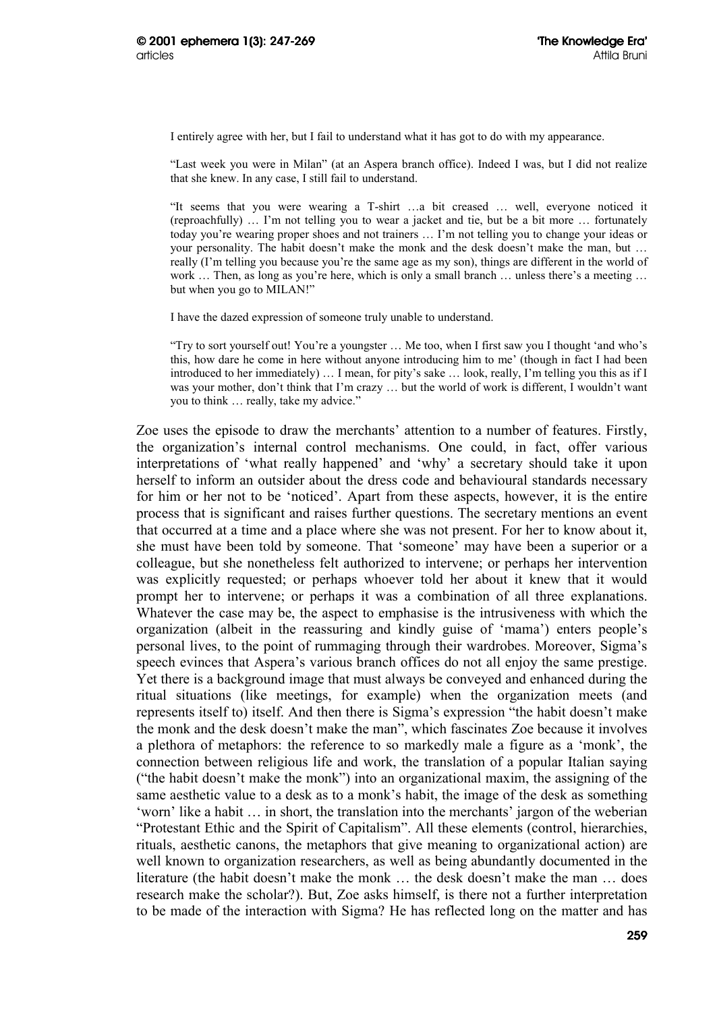I entirely agree with her, but I fail to understand what it has got to do with my appearance.

"Last week you were in Milan" (at an Aspera branch office). Indeed I was, but I did not realize that she knew. In any case, I still fail to understand.

"It seems that you were wearing a T-shirt …a bit creased … well, everyone noticed it (reproachfully) … I'm not telling you to wear a jacket and tie, but be a bit more … fortunately today you're wearing proper shoes and not trainers … I'm not telling you to change your ideas or your personality. The habit doesn't make the monk and the desk doesn't make the man, but … really (I'm telling you because you're the same age as my son), things are different in the world of work ... Then, as long as you're here, which is only a small branch ... unless there's a meeting ... but when you go to MILAN!"

I have the dazed expression of someone truly unable to understand.

"Try to sort yourself out! You're a youngster … Me too, when I first saw you I thought 'and who's this, how dare he come in here without anyone introducing him to me' (though in fact I had been introduced to her immediately) … I mean, for pity's sake … look, really, I'm telling you this as if I was your mother, don't think that I'm crazy … but the world of work is different, I wouldn't want you to think … really, take my advice."

Zoe uses the episode to draw the merchants' attention to a number of features. Firstly, the organization's internal control mechanisms. One could, in fact, offer various interpretations of 'what really happened' and 'why' a secretary should take it upon herself to inform an outsider about the dress code and behavioural standards necessary for him or her not to be 'noticed'. Apart from these aspects, however, it is the entire process that is significant and raises further questions. The secretary mentions an event that occurred at a time and a place where she was not present. For her to know about it, she must have been told by someone. That 'someone' may have been a superior or a colleague, but she nonetheless felt authorized to intervene; or perhaps her intervention was explicitly requested; or perhaps whoever told her about it knew that it would prompt her to intervene; or perhaps it was a combination of all three explanations. Whatever the case may be, the aspect to emphasise is the intrusiveness with which the organization (albeit in the reassuring and kindly guise of 'mama') enters people's personal lives, to the point of rummaging through their wardrobes. Moreover, Sigma's speech evinces that Aspera's various branch offices do not all enjoy the same prestige. Yet there is a background image that must always be conveyed and enhanced during the ritual situations (like meetings, for example) when the organization meets (and represents itself to) itself. And then there is Sigma's expression "the habit doesn't make the monk and the desk doesn't make the man", which fascinates Zoe because it involves a plethora of metaphors: the reference to so markedly male a figure as a 'monk', the connection between religious life and work, the translation of a popular Italian saying ("the habit doesn't make the monk") into an organizational maxim, the assigning of the same aesthetic value to a desk as to a monk's habit, the image of the desk as something 'worn' like a habit … in short, the translation into the merchants' jargon of the weberian "Protestant Ethic and the Spirit of Capitalism". All these elements (control, hierarchies, rituals, aesthetic canons, the metaphors that give meaning to organizational action) are well known to organization researchers, as well as being abundantly documented in the literature (the habit doesn't make the monk … the desk doesn't make the man … does research make the scholar?). But, Zoe asks himself, is there not a further interpretation to be made of the interaction with Sigma? He has reflected long on the matter and has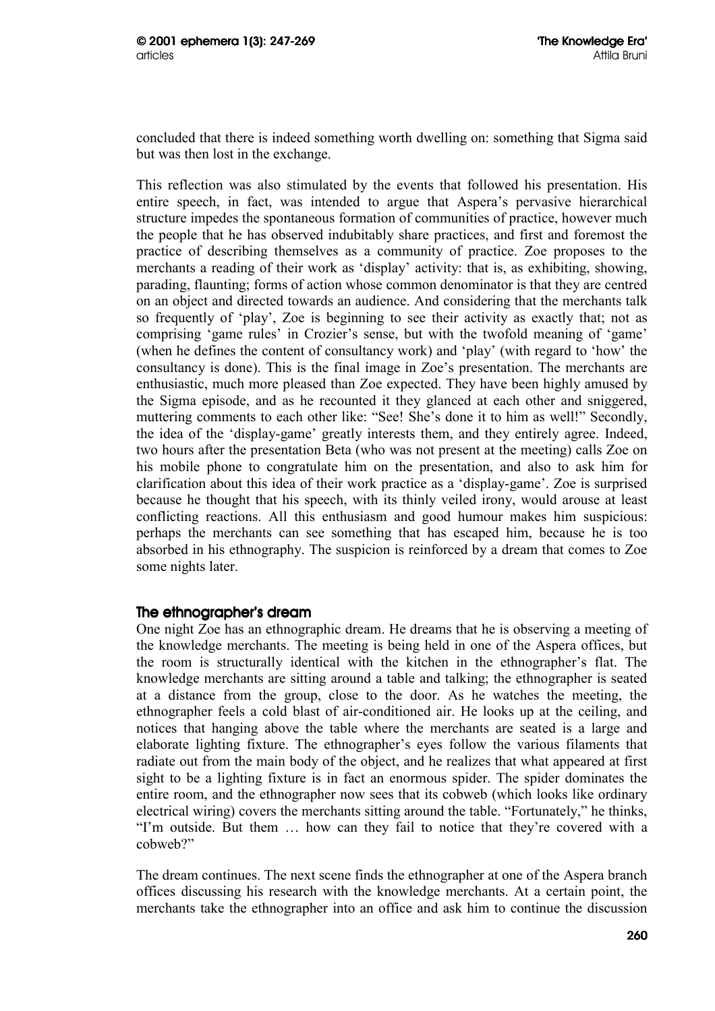concluded that there is indeed something worth dwelling on: something that Sigma said but was then lost in the exchange.

This reflection was also stimulated by the events that followed his presentation. His entire speech, in fact, was intended to argue that Aspera's pervasive hierarchical structure impedes the spontaneous formation of communities of practice, however much the people that he has observed indubitably share practices, and first and foremost the practice of describing themselves as a community of practice. Zoe proposes to the merchants a reading of their work as 'display' activity: that is, as exhibiting, showing, parading, flaunting; forms of action whose common denominator is that they are centred on an object and directed towards an audience. And considering that the merchants talk so frequently of 'play', Zoe is beginning to see their activity as exactly that; not as comprising 'game rules' in Crozier's sense, but with the twofold meaning of 'game' (when he defines the content of consultancy work) and 'play' (with regard to 'how' the consultancy is done). This is the final image in Zoe's presentation. The merchants are enthusiastic, much more pleased than Zoe expected. They have been highly amused by the Sigma episode, and as he recounted it they glanced at each other and sniggered, muttering comments to each other like: "See! She's done it to him as well!" Secondly, the idea of the 'display-game' greatly interests them, and they entirely agree. Indeed, two hours after the presentation Beta (who was not present at the meeting) calls Zoe on his mobile phone to congratulate him on the presentation, and also to ask him for clarification about this idea of their work practice as a 'display-game'. Zoe is surprised because he thought that his speech, with its thinly veiled irony, would arouse at least conflicting reactions. All this enthusiasm and good humour makes him suspicious: perhaps the merchants can see something that has escaped him, because he is too absorbed in his ethnography. The suspicion is reinforced by a dream that comes to Zoe some nights later.

### The ethnographer's dream

One night Zoe has an ethnographic dream. He dreams that he is observing a meeting of the knowledge merchants. The meeting is being held in one of the Aspera offices, but the room is structurally identical with the kitchen in the ethnographer's flat. The knowledge merchants are sitting around a table and talking; the ethnographer is seated at a distance from the group, close to the door. As he watches the meeting, the ethnographer feels a cold blast of air-conditioned air. He looks up at the ceiling, and notices that hanging above the table where the merchants are seated is a large and elaborate lighting fixture. The ethnographer's eyes follow the various filaments that radiate out from the main body of the object, and he realizes that what appeared at first sight to be a lighting fixture is in fact an enormous spider. The spider dominates the entire room, and the ethnographer now sees that its cobweb (which looks like ordinary electrical wiring) covers the merchants sitting around the table. "Fortunately," he thinks, "I'm outside. But them … how can they fail to notice that they're covered with a cobweb?"

The dream continues. The next scene finds the ethnographer at one of the Aspera branch offices discussing his research with the knowledge merchants. At a certain point, the merchants take the ethnographer into an office and ask him to continue the discussion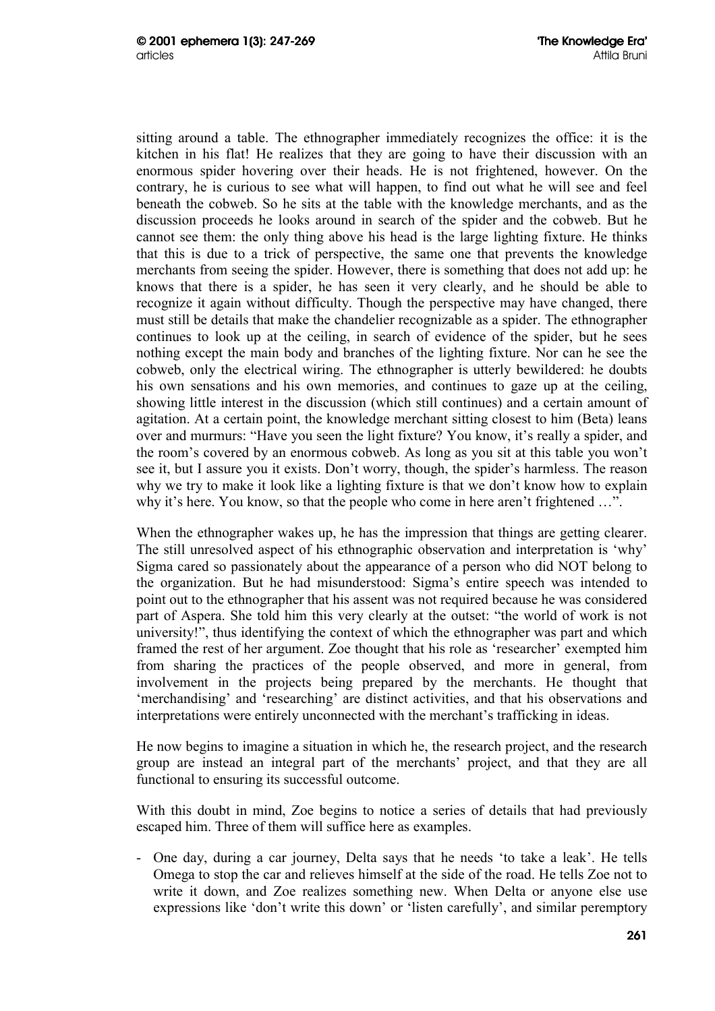sitting around a table. The ethnographer immediately recognizes the office: it is the kitchen in his flat! He realizes that they are going to have their discussion with an enormous spider hovering over their heads. He is not frightened, however. On the contrary, he is curious to see what will happen, to find out what he will see and feel beneath the cobweb. So he sits at the table with the knowledge merchants, and as the discussion proceeds he looks around in search of the spider and the cobweb. But he cannot see them: the only thing above his head is the large lighting fixture. He thinks that this is due to a trick of perspective, the same one that prevents the knowledge merchants from seeing the spider. However, there is something that does not add up: he knows that there is a spider, he has seen it very clearly, and he should be able to recognize it again without difficulty. Though the perspective may have changed, there must still be details that make the chandelier recognizable as a spider. The ethnographer continues to look up at the ceiling, in search of evidence of the spider, but he sees nothing except the main body and branches of the lighting fixture. Nor can he see the cobweb, only the electrical wiring. The ethnographer is utterly bewildered: he doubts his own sensations and his own memories, and continues to gaze up at the ceiling, showing little interest in the discussion (which still continues) and a certain amount of agitation. At a certain point, the knowledge merchant sitting closest to him (Beta) leans over and murmurs: "Have you seen the light fixture? You know, it's really a spider, and the room's covered by an enormous cobweb. As long as you sit at this table you won't see it, but I assure you it exists. Don't worry, though, the spider's harmless. The reason why we try to make it look like a lighting fixture is that we don't know how to explain why it's here. You know, so that the people who come in here aren't frightened ...".

When the ethnographer wakes up, he has the impression that things are getting clearer. The still unresolved aspect of his ethnographic observation and interpretation is 'why' Sigma cared so passionately about the appearance of a person who did NOT belong to the organization. But he had misunderstood: Sigma's entire speech was intended to point out to the ethnographer that his assent was not required because he was considered part of Aspera. She told him this very clearly at the outset: "the world of work is not university!", thus identifying the context of which the ethnographer was part and which framed the rest of her argument. Zoe thought that his role as 'researcher' exempted him from sharing the practices of the people observed, and more in general, from involvement in the projects being prepared by the merchants. He thought that 'merchandising' and 'researching' are distinct activities, and that his observations and interpretations were entirely unconnected with the merchant's trafficking in ideas.

He now begins to imagine a situation in which he, the research project, and the research group are instead an integral part of the merchants' project, and that they are all functional to ensuring its successful outcome.

With this doubt in mind, Zoe begins to notice a series of details that had previously escaped him. Three of them will suffice here as examples.

- One day, during a car journey, Delta says that he needs 'to take a leak'. He tells Omega to stop the car and relieves himself at the side of the road. He tells Zoe not to write it down, and Zoe realizes something new. When Delta or anyone else use expressions like 'don't write this down' or 'listen carefully', and similar peremptory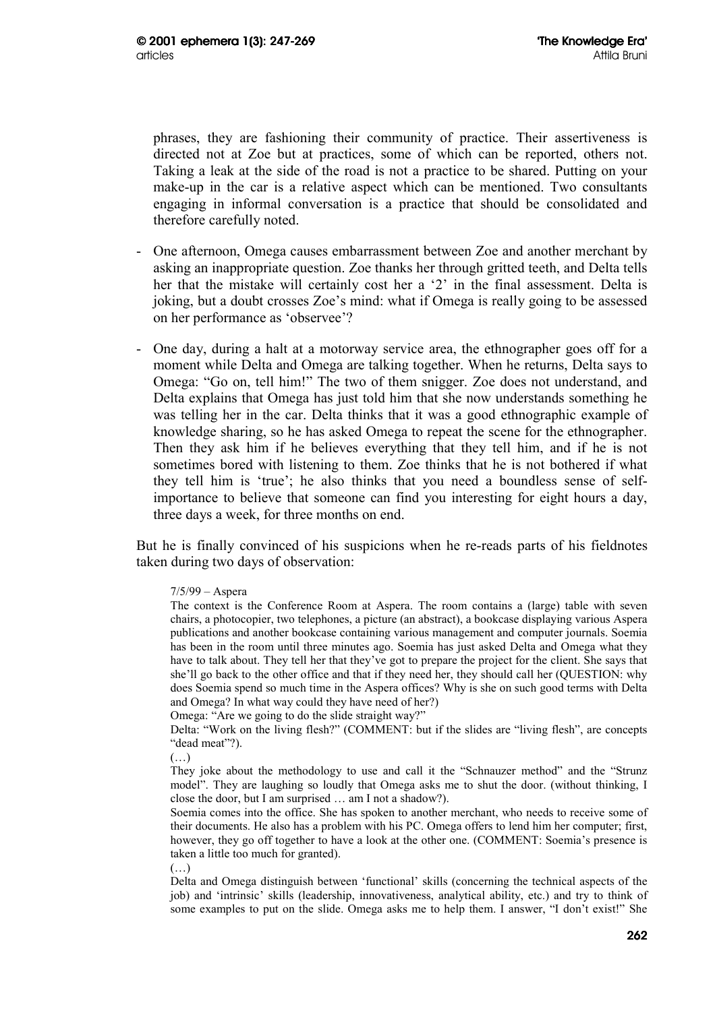phrases, they are fashioning their community of practice. Their assertiveness is directed not at Zoe but at practices, some of which can be reported, others not. Taking a leak at the side of the road is not a practice to be shared. Putting on your make-up in the car is a relative aspect which can be mentioned. Two consultants engaging in informal conversation is a practice that should be consolidated and therefore carefully noted.

- One afternoon, Omega causes embarrassment between Zoe and another merchant by asking an inappropriate question. Zoe thanks her through gritted teeth, and Delta tells her that the mistake will certainly cost her a '2' in the final assessment. Delta is joking, but a doubt crosses Zoe's mind: what if Omega is really going to be assessed on her performance as 'observee'?
- One day, during a halt at a motorway service area, the ethnographer goes off for a moment while Delta and Omega are talking together. When he returns, Delta says to Omega: "Go on, tell him!" The two of them snigger. Zoe does not understand, and Delta explains that Omega has just told him that she now understands something he was telling her in the car. Delta thinks that it was a good ethnographic example of knowledge sharing, so he has asked Omega to repeat the scene for the ethnographer. Then they ask him if he believes everything that they tell him, and if he is not sometimes bored with listening to them. Zoe thinks that he is not bothered if what they tell him is 'true'; he also thinks that you need a boundless sense of selfimportance to believe that someone can find you interesting for eight hours a day, three days a week, for three months on end.

But he is finally convinced of his suspicions when he re-reads parts of his fieldnotes taken during two days of observation:

7/5/99 – Aspera

The context is the Conference Room at Aspera. The room contains a (large) table with seven chairs, a photocopier, two telephones, a picture (an abstract), a bookcase displaying various Aspera publications and another bookcase containing various management and computer journals. Soemia has been in the room until three minutes ago. Soemia has just asked Delta and Omega what they have to talk about. They tell her that they've got to prepare the project for the client. She says that she'll go back to the other office and that if they need her, they should call her (QUESTION: why does Soemia spend so much time in the Aspera offices? Why is she on such good terms with Delta and Omega? In what way could they have need of her?)

Omega: "Are we going to do the slide straight way?"

Delta: "Work on the living flesh?" (COMMENT: but if the slides are "living flesh", are concepts "dead meat"?).

(…)

They joke about the methodology to use and call it the "Schnauzer method" and the "Strunz model". They are laughing so loudly that Omega asks me to shut the door. (without thinking, I close the door, but I am surprised … am I not a shadow?).

Soemia comes into the office. She has spoken to another merchant, who needs to receive some of their documents. He also has a problem with his PC. Omega offers to lend him her computer; first, however, they go off together to have a look at the other one. (COMMENT: Soemia's presence is taken a little too much for granted).

(…)

Delta and Omega distinguish between 'functional' skills (concerning the technical aspects of the job) and 'intrinsic' skills (leadership, innovativeness, analytical ability, etc.) and try to think of some examples to put on the slide. Omega asks me to help them. I answer, "I don't exist!" She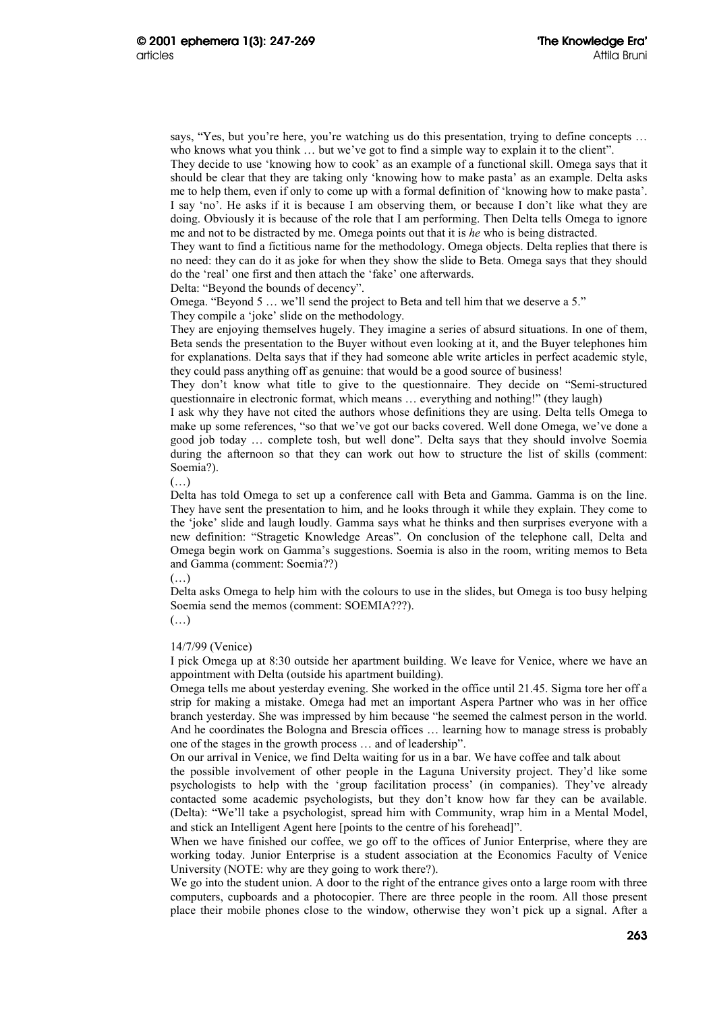says, "Yes, but you're here, you're watching us do this presentation, trying to define concepts ... who knows what you think … but we've got to find a simple way to explain it to the client".

They decide to use 'knowing how to cook' as an example of a functional skill. Omega says that it should be clear that they are taking only 'knowing how to make pasta' as an example. Delta asks me to help them, even if only to come up with a formal definition of 'knowing how to make pasta'. I say 'no'. He asks if it is because I am observing them, or because I don't like what they are doing. Obviously it is because of the role that I am performing. Then Delta tells Omega to ignore me and not to be distracted by me. Omega points out that it is *he* who is being distracted.

They want to find a fictitious name for the methodology. Omega objects. Delta replies that there is no need: they can do it as joke for when they show the slide to Beta. Omega says that they should do the 'real' one first and then attach the 'fake' one afterwards.

Delta: "Beyond the bounds of decency".

Omega. "Beyond 5 … we'll send the project to Beta and tell him that we deserve a 5."

They compile a 'joke' slide on the methodology.

They are enjoying themselves hugely. They imagine a series of absurd situations. In one of them, Beta sends the presentation to the Buyer without even looking at it, and the Buyer telephones him for explanations. Delta says that if they had someone able write articles in perfect academic style, they could pass anything off as genuine: that would be a good source of business!

They don't know what title to give to the questionnaire. They decide on "Semi-structured questionnaire in electronic format, which means … everything and nothing!" (they laugh)

I ask why they have not cited the authors whose definitions they are using. Delta tells Omega to make up some references, "so that we've got our backs covered. Well done Omega, we've done a good job today … complete tosh, but well done". Delta says that they should involve Soemia during the afternoon so that they can work out how to structure the list of skills (comment: Soemia?).

(…)

Delta has told Omega to set up a conference call with Beta and Gamma. Gamma is on the line. They have sent the presentation to him, and he looks through it while they explain. They come to the 'joke' slide and laugh loudly. Gamma says what he thinks and then surprises everyone with a new definition: "Stragetic Knowledge Areas". On conclusion of the telephone call, Delta and Omega begin work on Gamma's suggestions. Soemia is also in the room, writing memos to Beta and Gamma (comment: Soemia??)

(…)

Delta asks Omega to help him with the colours to use in the slides, but Omega is too busy helping Soemia send the memos (comment: SOEMIA???).

 $(\ldots)$ 

#### 14/7/99 (Venice)

I pick Omega up at 8:30 outside her apartment building. We leave for Venice, where we have an appointment with Delta (outside his apartment building).

Omega tells me about yesterday evening. She worked in the office until 21.45. Sigma tore her off a strip for making a mistake. Omega had met an important Aspera Partner who was in her office branch yesterday. She was impressed by him because "he seemed the calmest person in the world. And he coordinates the Bologna and Brescia offices … learning how to manage stress is probably one of the stages in the growth process … and of leadership".

On our arrival in Venice, we find Delta waiting for us in a bar. We have coffee and talk about

the possible involvement of other people in the Laguna University project. They'd like some psychologists to help with the 'group facilitation process' (in companies). They've already contacted some academic psychologists, but they don't know how far they can be available. (Delta): "We'll take a psychologist, spread him with Community, wrap him in a Mental Model, and stick an Intelligent Agent here [points to the centre of his forehead]".

When we have finished our coffee, we go off to the offices of Junior Enterprise, where they are working today. Junior Enterprise is a student association at the Economics Faculty of Venice University (NOTE: why are they going to work there?).

We go into the student union. A door to the right of the entrance gives onto a large room with three computers, cupboards and a photocopier. There are three people in the room. All those present place their mobile phones close to the window, otherwise they won't pick up a signal. After a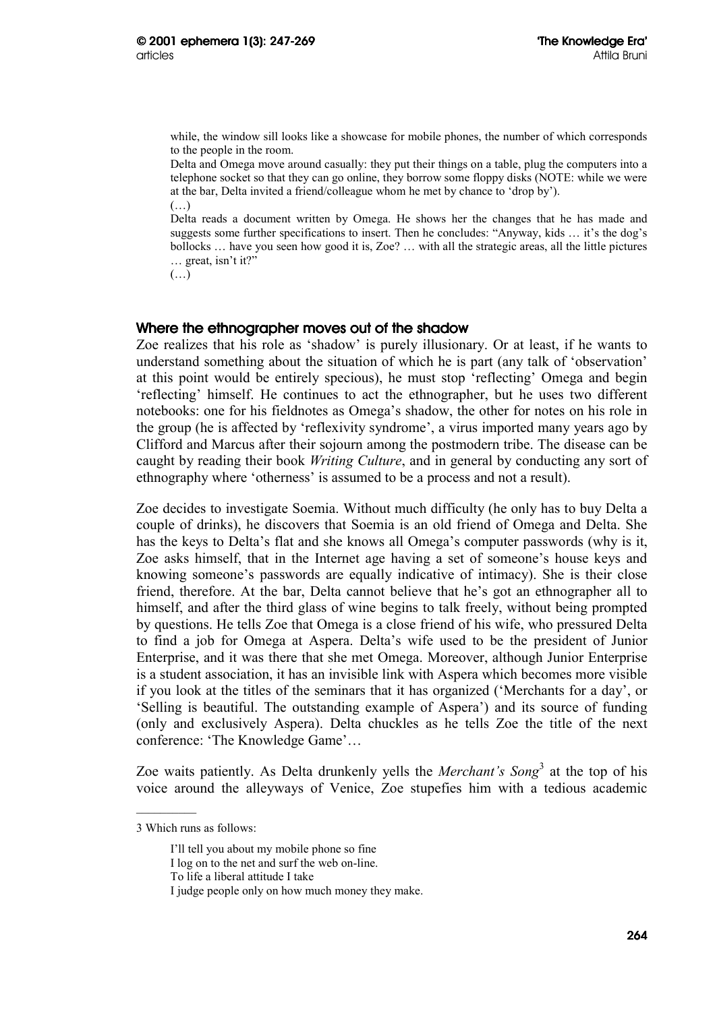while, the window sill looks like a showcase for mobile phones, the number of which corresponds to the people in the room.

Delta and Omega move around casually: they put their things on a table, plug the computers into a telephone socket so that they can go online, they borrow some floppy disks (NOTE: while we were at the bar, Delta invited a friend/colleague whom he met by chance to 'drop by').  $(\ldots)$ 

Delta reads a document written by Omega. He shows her the changes that he has made and suggests some further specifications to insert. Then he concludes: "Anyway, kids … it's the dog's bollocks … have you seen how good it is, Zoe? … with all the strategic areas, all the little pictures … great, isn't it?"

 $(\ldots)$ 

### Where the ethnographer moves out of the shadow

Zoe realizes that his role as 'shadow' is purely illusionary. Or at least, if he wants to understand something about the situation of which he is part (any talk of 'observation' at this point would be entirely specious), he must stop 'reflecting' Omega and begin 'reflecting' himself. He continues to act the ethnographer, but he uses two different notebooks: one for his fieldnotes as Omega's shadow, the other for notes on his role in the group (he is affected by 'reflexivity syndrome', a virus imported many years ago by Clifford and Marcus after their sojourn among the postmodern tribe. The disease can be caught by reading their book *Writing Culture*, and in general by conducting any sort of ethnography where 'otherness' is assumed to be a process and not a result).

Zoe decides to investigate Soemia. Without much difficulty (he only has to buy Delta a couple of drinks), he discovers that Soemia is an old friend of Omega and Delta. She has the keys to Delta's flat and she knows all Omega's computer passwords (why is it, Zoe asks himself, that in the Internet age having a set of someone's house keys and knowing someone's passwords are equally indicative of intimacy). She is their close friend, therefore. At the bar, Delta cannot believe that he's got an ethnographer all to himself, and after the third glass of wine begins to talk freely, without being prompted by questions. He tells Zoe that Omega is a close friend of his wife, who pressured Delta to find a job for Omega at Aspera. Delta's wife used to be the president of Junior Enterprise, and it was there that she met Omega. Moreover, although Junior Enterprise is a student association, it has an invisible link with Aspera which becomes more visible if you look at the titles of the seminars that it has organized ('Merchants for a day', or 'Selling is beautiful. The outstanding example of Aspera') and its source of funding (only and exclusively Aspera). Delta chuckles as he tells Zoe the title of the next conference: 'The Knowledge Game'…

Zoe waits patiently. As Delta drunkenly yells the *Merchant's Song*<sup>3</sup> at the top of his voice around the alleyways of Venice, Zoe stupefies him with a tedious academic

<sup>3</sup> Which runs as follows:

I'll tell you about my mobile phone so fine

I log on to the net and surf the web on-line.

To life a liberal attitude I take

I judge people only on how much money they make.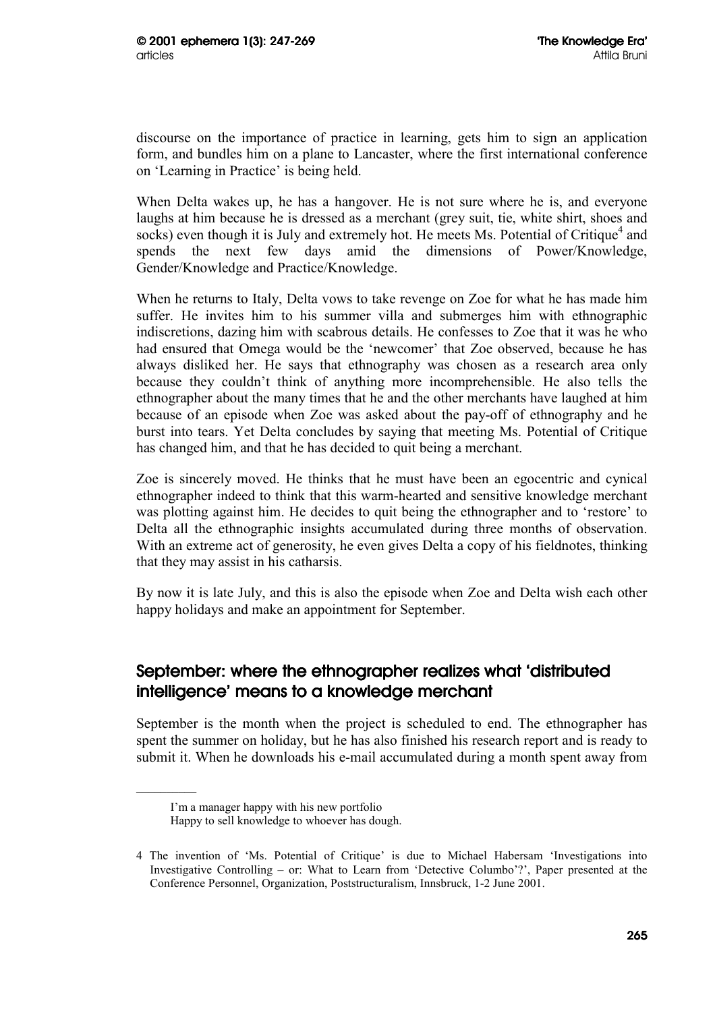discourse on the importance of practice in learning, gets him to sign an application form, and bundles him on a plane to Lancaster, where the first international conference on 'Learning in Practice' is being held.

When Delta wakes up, he has a hangover. He is not sure where he is, and everyone laughs at him because he is dressed as a merchant (grey suit, tie, white shirt, shoes and socks) even though it is July and extremely hot. He meets Ms. Potential of Critique<sup>4</sup> and spends the next few days amid the dimensions of Power/Knowledge, Gender/Knowledge and Practice/Knowledge.

When he returns to Italy, Delta vows to take revenge on Zoe for what he has made him suffer. He invites him to his summer villa and submerges him with ethnographic indiscretions, dazing him with scabrous details. He confesses to Zoe that it was he who had ensured that Omega would be the 'newcomer' that Zoe observed, because he has always disliked her. He says that ethnography was chosen as a research area only because they couldn't think of anything more incomprehensible. He also tells the ethnographer about the many times that he and the other merchants have laughed at him because of an episode when Zoe was asked about the pay-off of ethnography and he burst into tears. Yet Delta concludes by saying that meeting Ms. Potential of Critique has changed him, and that he has decided to quit being a merchant.

Zoe is sincerely moved. He thinks that he must have been an egocentric and cynical ethnographer indeed to think that this warm-hearted and sensitive knowledge merchant was plotting against him. He decides to quit being the ethnographer and to 'restore' to Delta all the ethnographic insights accumulated during three months of observation. With an extreme act of generosity, he even gives Delta a copy of his fieldnotes, thinking that they may assist in his catharsis.

By now it is late July, and this is also the episode when Zoe and Delta wish each other happy holidays and make an appointment for September.

# September: where the ethnographer realizes what 'distributed intelligence' means to a knowledge merchant

September is the month when the project is scheduled to end. The ethnographer has spent the summer on holiday, but he has also finished his research report and is ready to submit it. When he downloads his e-mail accumulated during a month spent away from

I'm a manager happy with his new portfolio

Happy to sell knowledge to whoever has dough.

<sup>4</sup> The invention of 'Ms. Potential of Critique' is due to Michael Habersam 'Investigations into Investigative Controlling – or: What to Learn from 'Detective Columbo'?', Paper presented at the Conference Personnel, Organization, Poststructuralism, Innsbruck, 1-2 June 2001.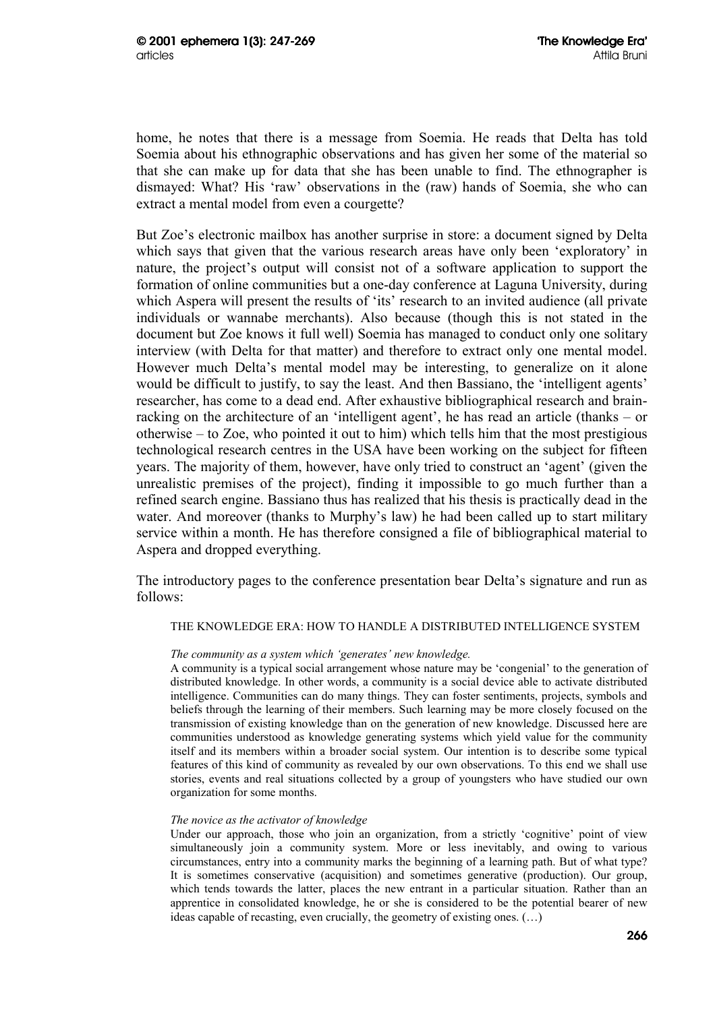home, he notes that there is a message from Soemia. He reads that Delta has told Soemia about his ethnographic observations and has given her some of the material so that she can make up for data that she has been unable to find. The ethnographer is dismayed: What? His 'raw' observations in the (raw) hands of Soemia, she who can extract a mental model from even a courgette?

But Zoe's electronic mailbox has another surprise in store: a document signed by Delta which says that given that the various research areas have only been 'exploratory' in nature, the project's output will consist not of a software application to support the formation of online communities but a one-day conference at Laguna University, during which Aspera will present the results of 'its' research to an invited audience (all private individuals or wannabe merchants). Also because (though this is not stated in the document but Zoe knows it full well) Soemia has managed to conduct only one solitary interview (with Delta for that matter) and therefore to extract only one mental model. However much Delta's mental model may be interesting, to generalize on it alone would be difficult to justify, to say the least. And then Bassiano, the 'intelligent agents' researcher, has come to a dead end. After exhaustive bibliographical research and brainracking on the architecture of an 'intelligent agent', he has read an article (thanks – or otherwise – to Zoe, who pointed it out to him) which tells him that the most prestigious technological research centres in the USA have been working on the subject for fifteen years. The majority of them, however, have only tried to construct an 'agent' (given the unrealistic premises of the project), finding it impossible to go much further than a refined search engine. Bassiano thus has realized that his thesis is practically dead in the water. And moreover (thanks to Murphy's law) he had been called up to start military service within a month. He has therefore consigned a file of bibliographical material to Aspera and dropped everything.

The introductory pages to the conference presentation bear Delta's signature and run as follows:

#### THE KNOWLEDGE ERA: HOW TO HANDLE A DISTRIBUTED INTELLIGENCE SYSTEM

#### *The community as a system which 'generates' new knowledge.*

A community is a typical social arrangement whose nature may be 'congenial' to the generation of distributed knowledge. In other words, a community is a social device able to activate distributed intelligence. Communities can do many things. They can foster sentiments, projects, symbols and beliefs through the learning of their members. Such learning may be more closely focused on the transmission of existing knowledge than on the generation of new knowledge. Discussed here are communities understood as knowledge generating systems which yield value for the community itself and its members within a broader social system. Our intention is to describe some typical features of this kind of community as revealed by our own observations. To this end we shall use stories, events and real situations collected by a group of youngsters who have studied our own organization for some months.

#### *The novice as the activator of knowledge*

Under our approach, those who join an organization, from a strictly 'cognitive' point of view simultaneously join a community system. More or less inevitably, and owing to various circumstances, entry into a community marks the beginning of a learning path. But of what type? It is sometimes conservative (acquisition) and sometimes generative (production). Our group, which tends towards the latter, places the new entrant in a particular situation. Rather than an apprentice in consolidated knowledge, he or she is considered to be the potential bearer of new ideas capable of recasting, even crucially, the geometry of existing ones. (…)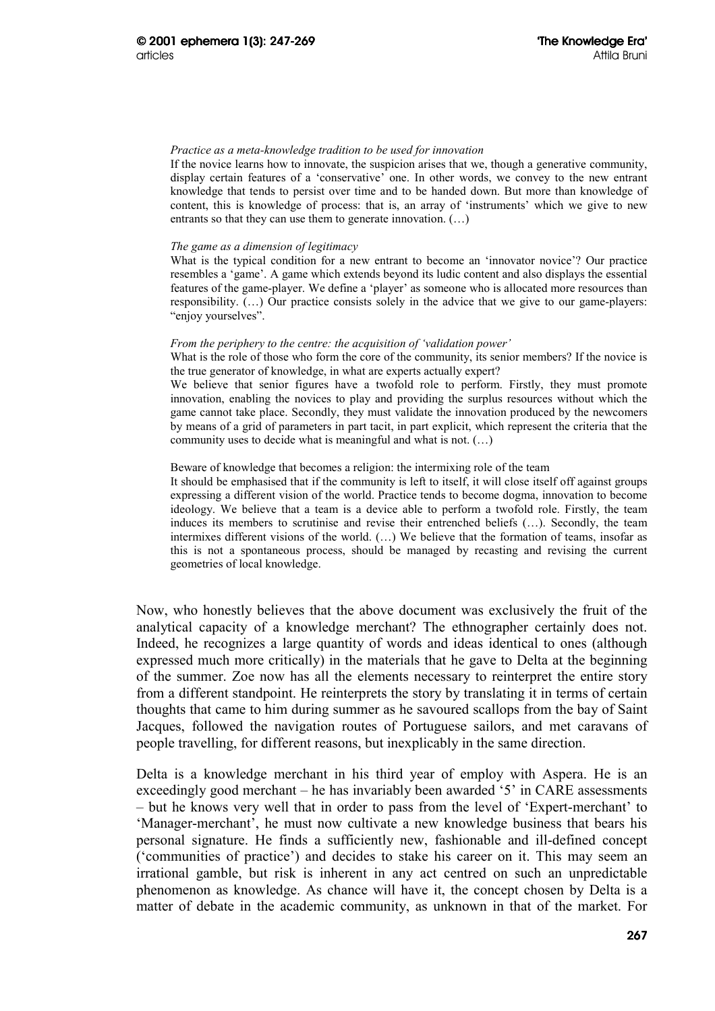#### *Practice as a meta-knowledge tradition to be used for innovation*

If the novice learns how to innovate, the suspicion arises that we, though a generative community, display certain features of a 'conservative' one. In other words, we convey to the new entrant knowledge that tends to persist over time and to be handed down. But more than knowledge of content, this is knowledge of process: that is, an array of 'instruments' which we give to new entrants so that they can use them to generate innovation. (…)

#### *The game as a dimension of legitimacy*

What is the typical condition for a new entrant to become an 'innovator novice'? Our practice resembles a 'game'. A game which extends beyond its ludic content and also displays the essential features of the game-player. We define a 'player' as someone who is allocated more resources than responsibility. (…) Our practice consists solely in the advice that we give to our game-players: "enjoy yourselves".

#### *From the periphery to the centre: the acquisition of 'validation power'*

What is the role of those who form the core of the community, its senior members? If the novice is the true generator of knowledge, in what are experts actually expert?

We believe that senior figures have a twofold role to perform. Firstly, they must promote innovation, enabling the novices to play and providing the surplus resources without which the game cannot take place. Secondly, they must validate the innovation produced by the newcomers by means of a grid of parameters in part tacit, in part explicit, which represent the criteria that the community uses to decide what is meaningful and what is not. (…)

#### Beware of knowledge that becomes a religion: the intermixing role of the team

It should be emphasised that if the community is left to itself, it will close itself off against groups expressing a different vision of the world. Practice tends to become dogma, innovation to become ideology. We believe that a team is a device able to perform a twofold role. Firstly, the team induces its members to scrutinise and revise their entrenched beliefs (…). Secondly, the team intermixes different visions of the world. (…) We believe that the formation of teams, insofar as this is not a spontaneous process, should be managed by recasting and revising the current geometries of local knowledge.

Now, who honestly believes that the above document was exclusively the fruit of the analytical capacity of a knowledge merchant? The ethnographer certainly does not. Indeed, he recognizes a large quantity of words and ideas identical to ones (although expressed much more critically) in the materials that he gave to Delta at the beginning of the summer. Zoe now has all the elements necessary to reinterpret the entire story from a different standpoint. He reinterprets the story by translating it in terms of certain thoughts that came to him during summer as he savoured scallops from the bay of Saint Jacques, followed the navigation routes of Portuguese sailors, and met caravans of people travelling, for different reasons, but inexplicably in the same direction.

Delta is a knowledge merchant in his third year of employ with Aspera. He is an exceedingly good merchant – he has invariably been awarded '5' in CARE assessments – but he knows very well that in order to pass from the level of 'Expert-merchant' to 'Manager-merchant', he must now cultivate a new knowledge business that bears his personal signature. He finds a sufficiently new, fashionable and ill-defined concept ('communities of practice') and decides to stake his career on it. This may seem an irrational gamble, but risk is inherent in any act centred on such an unpredictable phenomenon as knowledge. As chance will have it, the concept chosen by Delta is a matter of debate in the academic community, as unknown in that of the market. For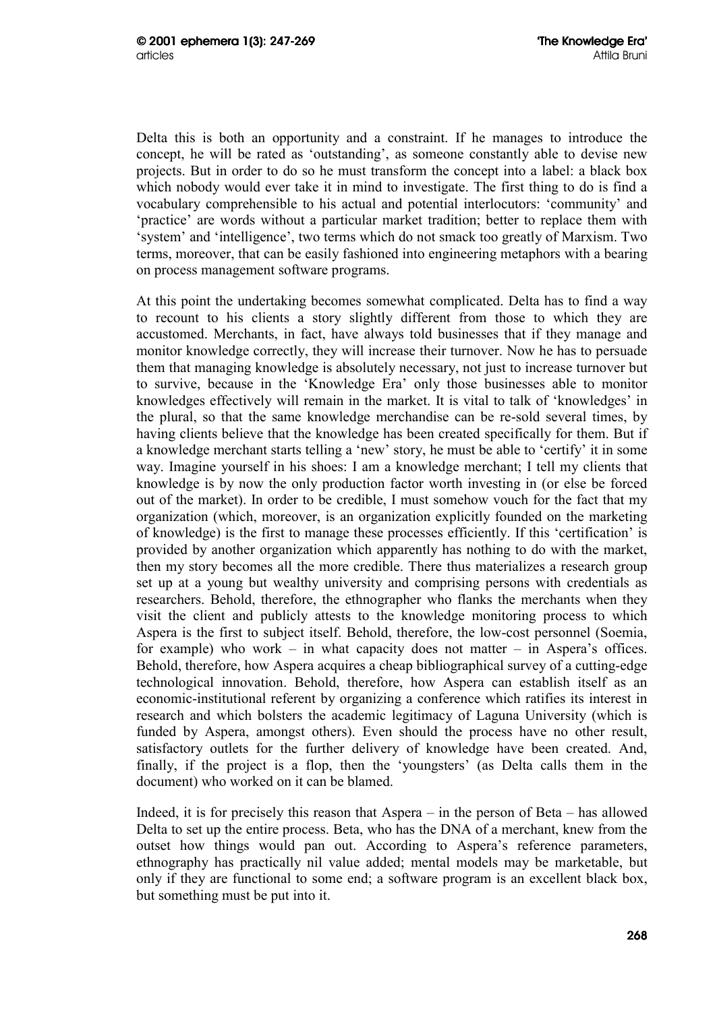Delta this is both an opportunity and a constraint. If he manages to introduce the concept, he will be rated as 'outstanding', as someone constantly able to devise new projects. But in order to do so he must transform the concept into a label: a black box which nobody would ever take it in mind to investigate. The first thing to do is find a vocabulary comprehensible to his actual and potential interlocutors: 'community' and 'practice' are words without a particular market tradition; better to replace them with 'system' and 'intelligence', two terms which do not smack too greatly of Marxism. Two terms, moreover, that can be easily fashioned into engineering metaphors with a bearing on process management software programs.

At this point the undertaking becomes somewhat complicated. Delta has to find a way to recount to his clients a story slightly different from those to which they are accustomed. Merchants, in fact, have always told businesses that if they manage and monitor knowledge correctly, they will increase their turnover. Now he has to persuade them that managing knowledge is absolutely necessary, not just to increase turnover but to survive, because in the 'Knowledge Era' only those businesses able to monitor knowledges effectively will remain in the market. It is vital to talk of 'knowledges' in the plural, so that the same knowledge merchandise can be re-sold several times, by having clients believe that the knowledge has been created specifically for them. But if a knowledge merchant starts telling a 'new' story, he must be able to 'certify' it in some way. Imagine yourself in his shoes: I am a knowledge merchant; I tell my clients that knowledge is by now the only production factor worth investing in (or else be forced out of the market). In order to be credible, I must somehow vouch for the fact that my organization (which, moreover, is an organization explicitly founded on the marketing of knowledge) is the first to manage these processes efficiently. If this 'certification' is provided by another organization which apparently has nothing to do with the market, then my story becomes all the more credible. There thus materializes a research group set up at a young but wealthy university and comprising persons with credentials as researchers. Behold, therefore, the ethnographer who flanks the merchants when they visit the client and publicly attests to the knowledge monitoring process to which Aspera is the first to subject itself. Behold, therefore, the low-cost personnel (Soemia, for example) who work – in what capacity does not matter – in Aspera's offices. Behold, therefore, how Aspera acquires a cheap bibliographical survey of a cutting-edge technological innovation. Behold, therefore, how Aspera can establish itself as an economic-institutional referent by organizing a conference which ratifies its interest in research and which bolsters the academic legitimacy of Laguna University (which is funded by Aspera, amongst others). Even should the process have no other result, satisfactory outlets for the further delivery of knowledge have been created. And, finally, if the project is a flop, then the 'youngsters' (as Delta calls them in the document) who worked on it can be blamed.

Indeed, it is for precisely this reason that Aspera – in the person of Beta – has allowed Delta to set up the entire process. Beta, who has the DNA of a merchant, knew from the outset how things would pan out. According to Aspera's reference parameters, ethnography has practically nil value added; mental models may be marketable, but only if they are functional to some end; a software program is an excellent black box, but something must be put into it.